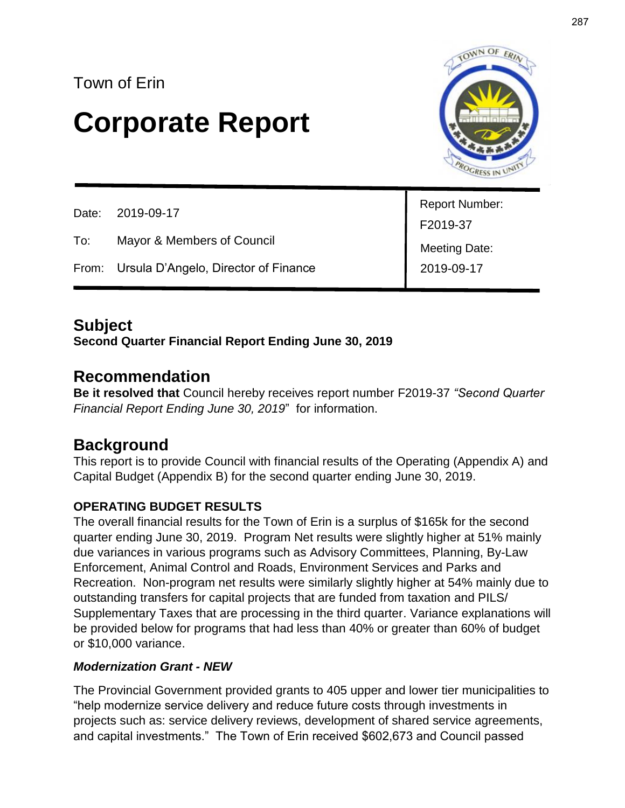## Town of Erin

# **Corporate Report**



| Date: 2019-09-17 |                                            | <b>Report Number:</b> |
|------------------|--------------------------------------------|-----------------------|
|                  |                                            | F2019-37              |
| To:              | Mayor & Members of Council                 | <b>Meeting Date:</b>  |
|                  | From: Ursula D'Angelo, Director of Finance | 2019-09-17            |
|                  |                                            |                       |

## **Subject**

### **Second Quarter Financial Report Ending June 30, 2019**

### **Recommendation**

**Be it resolved that** Council hereby receives report number F2019-37 *"Second Quarter Financial Report Ending June 30, 2019*" for information.

## **Background**

This report is to provide Council with financial results of the Operating (Appendix A) and Capital Budget (Appendix B) for the second quarter ending June 30, 2019.

### **OPERATING BUDGET RESULTS**

The overall financial results for the Town of Erin is a surplus of \$165k for the second quarter ending June 30, 2019. Program Net results were slightly higher at 51% mainly due variances in various programs such as Advisory Committees, Planning, By-Law Enforcement, Animal Control and Roads, Environment Services and Parks and Recreation. Non-program net results were similarly slightly higher at 54% mainly due to outstanding transfers for capital projects that are funded from taxation and PILS/ Supplementary Taxes that are processing in the third quarter. Variance explanations will be provided below for programs that had less than 40% or greater than 60% of budget or \$10,000 variance.

### *Modernization Grant - NEW*

The Provincial Government provided grants to 405 upper and lower tier municipalities to "help modernize service delivery and reduce future costs through investments in projects such as: service delivery reviews, development of shared service agreements, and capital investments." The Town of Erin received \$602,673 and Council passed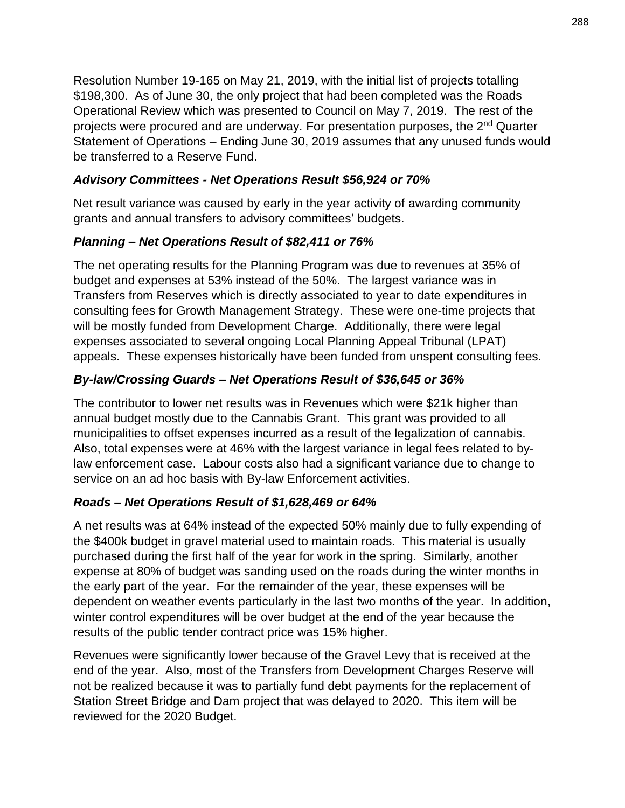Resolution Number 19-165 on May 21, 2019, with the initial list of projects totalling \$198,300. As of June 30, the only project that had been completed was the Roads Operational Review which was presented to Council on May 7, 2019. The rest of the projects were procured and are underway. For presentation purposes, the 2nd Quarter Statement of Operations – Ending June 30, 2019 assumes that any unused funds would be transferred to a Reserve Fund.

### *Advisory Committees - Net Operations Result \$56,924 or 70%*

Net result variance was caused by early in the year activity of awarding community grants and annual transfers to advisory committees' budgets.

### *Planning – Net Operations Result of \$82,411 or 76%*

The net operating results for the Planning Program was due to revenues at 35% of budget and expenses at 53% instead of the 50%. The largest variance was in Transfers from Reserves which is directly associated to year to date expenditures in consulting fees for Growth Management Strategy. These were one-time projects that will be mostly funded from Development Charge. Additionally, there were legal expenses associated to several ongoing Local Planning Appeal Tribunal (LPAT) appeals. These expenses historically have been funded from unspent consulting fees.

### *By-law/Crossing Guards – Net Operations Result of \$36,645 or 36%*

The contributor to lower net results was in Revenues which were \$21k higher than annual budget mostly due to the Cannabis Grant. This grant was provided to all municipalities to offset expenses incurred as a result of the legalization of cannabis. Also, total expenses were at 46% with the largest variance in legal fees related to bylaw enforcement case. Labour costs also had a significant variance due to change to service on an ad hoc basis with By-law Enforcement activities.

### *Roads – Net Operations Result of \$1,628,469 or 64%*

A net results was at 64% instead of the expected 50% mainly due to fully expending of the \$400k budget in gravel material used to maintain roads. This material is usually purchased during the first half of the year for work in the spring. Similarly, another expense at 80% of budget was sanding used on the roads during the winter months in the early part of the year. For the remainder of the year, these expenses will be dependent on weather events particularly in the last two months of the year. In addition, winter control expenditures will be over budget at the end of the year because the results of the public tender contract price was 15% higher.

Revenues were significantly lower because of the Gravel Levy that is received at the end of the year. Also, most of the Transfers from Development Charges Reserve will not be realized because it was to partially fund debt payments for the replacement of Station Street Bridge and Dam project that was delayed to 2020. This item will be reviewed for the 2020 Budget.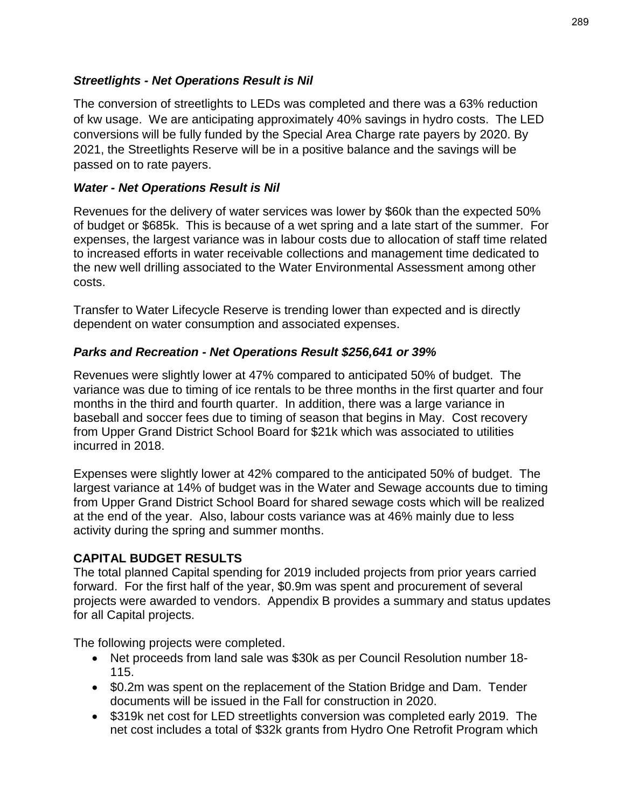### *Streetlights - Net Operations Result is Nil*

The conversion of streetlights to LEDs was completed and there was a 63% reduction of kw usage. We are anticipating approximately 40% savings in hydro costs. The LED conversions will be fully funded by the Special Area Charge rate payers by 2020. By 2021, the Streetlights Reserve will be in a positive balance and the savings will be passed on to rate payers.

### *Water - Net Operations Result is Nil*

Revenues for the delivery of water services was lower by \$60k than the expected 50% of budget or \$685k. This is because of a wet spring and a late start of the summer. For expenses, the largest variance was in labour costs due to allocation of staff time related to increased efforts in water receivable collections and management time dedicated to the new well drilling associated to the Water Environmental Assessment among other costs.

Transfer to Water Lifecycle Reserve is trending lower than expected and is directly dependent on water consumption and associated expenses.

### *Parks and Recreation - Net Operations Result \$256,641 or 39%*

Revenues were slightly lower at 47% compared to anticipated 50% of budget. The variance was due to timing of ice rentals to be three months in the first quarter and four months in the third and fourth quarter. In addition, there was a large variance in baseball and soccer fees due to timing of season that begins in May. Cost recovery from Upper Grand District School Board for \$21k which was associated to utilities incurred in 2018.

Expenses were slightly lower at 42% compared to the anticipated 50% of budget. The largest variance at 14% of budget was in the Water and Sewage accounts due to timing from Upper Grand District School Board for shared sewage costs which will be realized at the end of the year. Also, labour costs variance was at 46% mainly due to less activity during the spring and summer months.

### **CAPITAL BUDGET RESULTS**

The total planned Capital spending for 2019 included projects from prior years carried forward. For the first half of the year, \$0.9m was spent and procurement of several projects were awarded to vendors. Appendix B provides a summary and status updates for all Capital projects.

The following projects were completed.

- Net proceeds from land sale was \$30k as per Council Resolution number 18- 115.
- \$0.2m was spent on the replacement of the Station Bridge and Dam. Tender documents will be issued in the Fall for construction in 2020.
- \$319k net cost for LED streetlights conversion was completed early 2019. The net cost includes a total of \$32k grants from Hydro One Retrofit Program which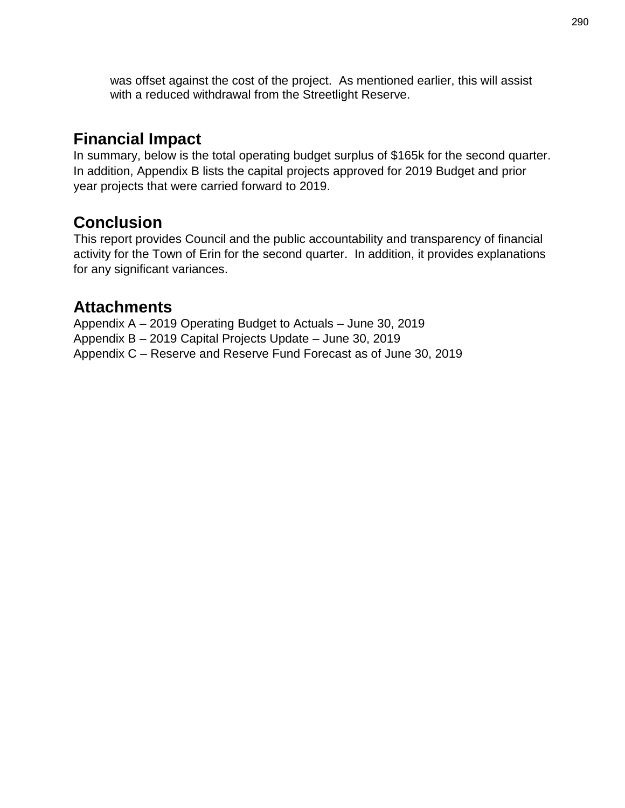was offset against the cost of the project. As mentioned earlier, this will assist with a reduced withdrawal from the Streetlight Reserve.

## **Financial Impact**

In summary, below is the total operating budget surplus of \$165k for the second quarter. In addition, Appendix B lists the capital projects approved for 2019 Budget and prior year projects that were carried forward to 2019.

## **Conclusion**

This report provides Council and the public accountability and transparency of financial activity for the Town of Erin for the second quarter. In addition, it provides explanations for any significant variances.

### **Attachments**

Appendix A – 2019 Operating Budget to Actuals – June 30, 2019 Appendix B – 2019 Capital Projects Update – June 30, 2019 Appendix C – Reserve and Reserve Fund Forecast as of June 30, 2019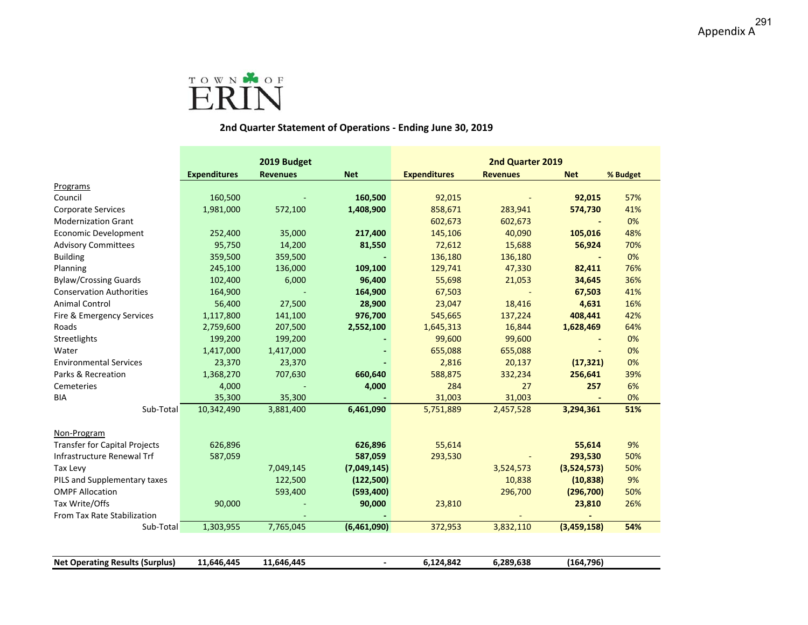

### **2nd Quarter Statement of Operations ‐ Ending June 30, 2019**

|                                        |                     | 2019 Budget     |                | 2nd Quarter 2019    |                 |             |          |
|----------------------------------------|---------------------|-----------------|----------------|---------------------|-----------------|-------------|----------|
|                                        | <b>Expenditures</b> | <b>Revenues</b> | <b>Net</b>     | <b>Expenditures</b> | <b>Revenues</b> | <b>Net</b>  | % Budget |
| Programs                               |                     |                 |                |                     |                 |             |          |
| Council                                | 160,500             |                 | 160,500        | 92,015              |                 | 92,015      | 57%      |
| <b>Corporate Services</b>              | 1,981,000           | 572,100         | 1,408,900      | 858,671             | 283,941         | 574,730     | 41%      |
| <b>Modernization Grant</b>             |                     |                 |                | 602,673             | 602,673         |             | 0%       |
| Economic Development                   | 252,400             | 35,000          | 217,400        | 145,106             | 40,090          | 105,016     | 48%      |
| <b>Advisory Committees</b>             | 95,750              | 14,200          | 81,550         | 72,612              | 15,688          | 56,924      | 70%      |
| <b>Building</b>                        | 359,500             | 359,500         |                | 136,180             | 136,180         |             | 0%       |
| Planning                               | 245,100             | 136,000         | 109,100        | 129,741             | 47,330          | 82,411      | 76%      |
| <b>Bylaw/Crossing Guards</b>           | 102,400             | 6,000           | 96,400         | 55,698              | 21,053          | 34,645      | 36%      |
| <b>Conservation Authorities</b>        | 164,900             |                 | 164,900        | 67,503              |                 | 67,503      | 41%      |
| <b>Animal Control</b>                  | 56,400              | 27,500          | 28,900         | 23,047              | 18,416          | 4,631       | 16%      |
| Fire & Emergency Services              | 1,117,800           | 141,100         | 976,700        | 545,665             | 137,224         | 408,441     | 42%      |
| Roads                                  | 2,759,600           | 207,500         | 2,552,100      | 1,645,313           | 16,844          | 1,628,469   | 64%      |
| Streetlights                           | 199,200             | 199,200         |                | 99,600              | 99,600          |             | 0%       |
| Water                                  | 1,417,000           | 1,417,000       |                | 655,088             | 655,088         |             | 0%       |
| <b>Environmental Services</b>          | 23,370              | 23,370          |                | 2,816               | 20,137          | (17, 321)   | 0%       |
| Parks & Recreation                     | 1,368,270           | 707,630         | 660,640        | 588,875             | 332,234         | 256,641     | 39%      |
| Cemeteries                             | 4,000               |                 | 4,000          | 284                 | 27              | 257         | 6%       |
| <b>BIA</b>                             | 35,300              | 35,300          |                | 31,003              | 31,003          |             | 0%       |
| Sub-Total                              | 10,342,490          | 3,881,400       | 6,461,090      | 5,751,889           | 2,457,528       | 3,294,361   | 51%      |
|                                        |                     |                 |                |                     |                 |             |          |
| Non-Program                            |                     |                 |                |                     |                 |             |          |
| <b>Transfer for Capital Projects</b>   | 626,896             |                 | 626,896        | 55,614              |                 | 55,614      | 9%       |
| Infrastructure Renewal Trf             | 587,059             |                 | 587,059        | 293,530             |                 | 293,530     | 50%      |
| Tax Levy                               |                     | 7,049,145       | (7,049,145)    |                     | 3,524,573       | (3,524,573) | 50%      |
| PILS and Supplementary taxes           |                     | 122,500         | (122, 500)     |                     | 10,838          | (10, 838)   | 9%       |
| <b>OMPF Allocation</b>                 |                     | 593,400         | (593,400)      |                     | 296,700         | (296, 700)  | 50%      |
| Tax Write/Offs                         | 90,000              |                 | 90,000         | 23,810              |                 | 23,810      | 26%      |
| From Tax Rate Stabilization            |                     |                 |                |                     |                 |             |          |
| Sub-Total                              | 1,303,955           | 7,765,045       | (6,461,090)    | 372,953             | 3,832,110       | (3,459,158) | 54%      |
|                                        |                     |                 |                |                     |                 |             |          |
| <b>Net Operating Results (Surplus)</b> | 11,646,445          | 11,646,445      | $\overline{a}$ | 6,124,842           | 6,289,638       | (164, 796)  |          |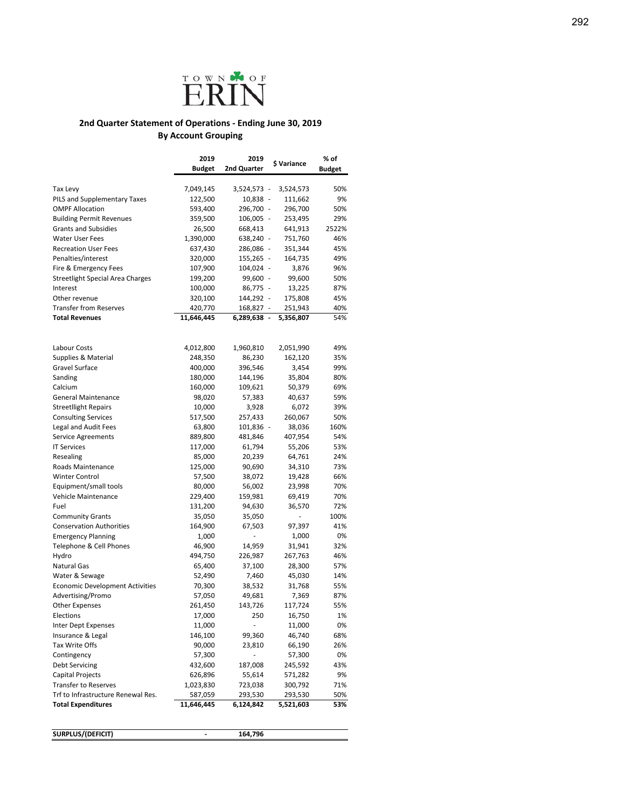

### **2nd Quarter Statement of Operations ‐ Ending June 30, 2019 By Account Grouping**

|                                                                  | 2019               | 2019                     | \$ Variance     | % of          |
|------------------------------------------------------------------|--------------------|--------------------------|-----------------|---------------|
|                                                                  | <b>Budget</b>      | 2nd Quarter              |                 | <b>Budget</b> |
|                                                                  |                    |                          |                 |               |
| Tax Levy                                                         | 7,049,145          | 3,524,573 -              | 3,524,573       | 50%           |
| <b>PILS and Supplementary Taxes</b>                              | 122,500            | 10,838 -                 | 111,662         | 9%            |
| <b>OMPF Allocation</b>                                           | 593,400            | 296,700 -                | 296,700         | 50%           |
| <b>Building Permit Revenues</b>                                  | 359,500            | 106,005 -                | 253,495         | 29%           |
| <b>Grants and Subsidies</b>                                      | 26,500             | 668,413                  | 641,913         | 2522%         |
| Water User Fees                                                  | 1,390,000          | 638,240 -                | 751,760         | 46%           |
| <b>Recreation User Fees</b>                                      | 637,430            | 286,086 -                | 351,344         | 45%           |
| Penalties/interest                                               | 320,000            | 155,265 -                | 164,735         | 49%           |
| Fire & Emergency Fees<br><b>Streetlight Special Area Charges</b> | 107,900<br>199,200 | 104,024 -<br>99,600 -    | 3,876<br>99,600 | 96%<br>50%    |
| Interest                                                         | 100,000            | 86,775 -                 | 13,225          | 87%           |
| Other revenue                                                    | 320,100            | 144,292 -                | 175,808         | 45%           |
| <b>Transfer from Reserves</b>                                    | 420,770            | 168,827 -                | 251,943         | 40%           |
| <b>Total Revenues</b>                                            | 11,646,445         | 6,289,638 -              | 5,356,807       | 54%           |
|                                                                  |                    |                          |                 |               |
| Labour Costs                                                     | 4,012,800          | 1,960,810                | 2,051,990       | 49%           |
| Supplies & Material                                              | 248,350            | 86,230                   | 162,120         | 35%           |
| Gravel Surface                                                   | 400,000            | 396,546                  | 3,454           | 99%           |
| Sanding                                                          | 180,000            | 144,196                  | 35,804          | 80%           |
| Calcium                                                          | 160,000            | 109,621                  | 50,379          | 69%           |
| <b>General Maintenance</b>                                       | 98,020             | 57,383                   | 40,637          | 59%           |
| <b>Streetllight Repairs</b>                                      | 10,000             | 3,928                    | 6,072           | 39%           |
| <b>Consulting Services</b>                                       | 517,500            | 257,433                  | 260,067         | 50%           |
| Legal and Audit Fees                                             | 63,800             | 101,836 -                | 38,036          | 160%          |
| <b>Service Agreements</b>                                        | 889,800            | 481,846                  | 407,954         | 54%           |
| <b>IT Services</b>                                               | 117,000            | 61,794                   | 55,206          | 53%           |
| Resealing                                                        | 85,000             | 20,239                   | 64,761          | 24%           |
| Roads Maintenance                                                | 125,000            | 90,690                   | 34,310          | 73%           |
| <b>Winter Control</b>                                            | 57,500             | 38,072                   | 19,428          | 66%           |
| Equipment/small tools                                            | 80,000             | 56,002                   | 23,998          | 70%           |
| <b>Vehicle Maintenance</b>                                       | 229,400            | 159,981                  | 69,419          | 70%           |
| Fuel                                                             | 131,200            | 94,630                   | 36,570          | 72%           |
| <b>Community Grants</b>                                          | 35,050             | 35,050                   |                 | 100%          |
| <b>Conservation Authorities</b>                                  | 164,900            | 67,503                   | 97,397          | 41%           |
| <b>Emergency Planning</b>                                        | 1,000              | ÷,                       | 1,000           | 0%            |
| Telephone & Cell Phones                                          | 46,900             | 14,959                   | 31,941          | 32%           |
| Hydro                                                            | 494,750            | 226,987                  | 267,763         | 46%           |
| <b>Natural Gas</b>                                               | 65,400             | 37,100                   | 28,300          | 57%           |
| Water & Sewage                                                   | 52,490             | 7,460                    | 45,030          | 14%           |
| <b>Economic Development Activities</b>                           | 70,300             | 38,532                   | 31,768          | 55%           |
| Advertising/Promo                                                | 57,050             | 49,681                   | 7,369           | 87%           |
| <b>Other Expenses</b>                                            | 261,450            | 143,726                  | 117,724         | 55%           |
| Elections                                                        | 17,000             | 250                      | 16,750          | 1%            |
| <b>Inter Dept Expenses</b>                                       | 11,000             | ×,                       | 11,000          | 0%            |
| Insurance & Legal                                                | 146,100            | 99,360                   | 46,740          | 68%           |
| Tax Write Offs                                                   | 90,000             | 23,810                   | 66,190          | 26%           |
| Contingency                                                      | 57,300             | $\overline{\phantom{0}}$ | 57,300          | 0%            |
| Debt Servicing                                                   | 432,600            | 187,008                  | 245,592         | 43%           |
| Capital Projects                                                 | 626,896            | 55,614                   | 571,282         | 9%            |
| <b>Transfer to Reserves</b>                                      | 1,023,830          | 723,038                  | 300,792         | 71%           |
| Trf to Infrastructure Renewal Res.                               | 587,059            | 293,530                  | 293,530         | 50%           |
| <b>Total Expenditures</b>                                        | 11,646,445         | 6,124,842                | 5,521,603       | 53%           |
| SURPLUS/(DEFICIT)                                                |                    | 164,796                  |                 |               |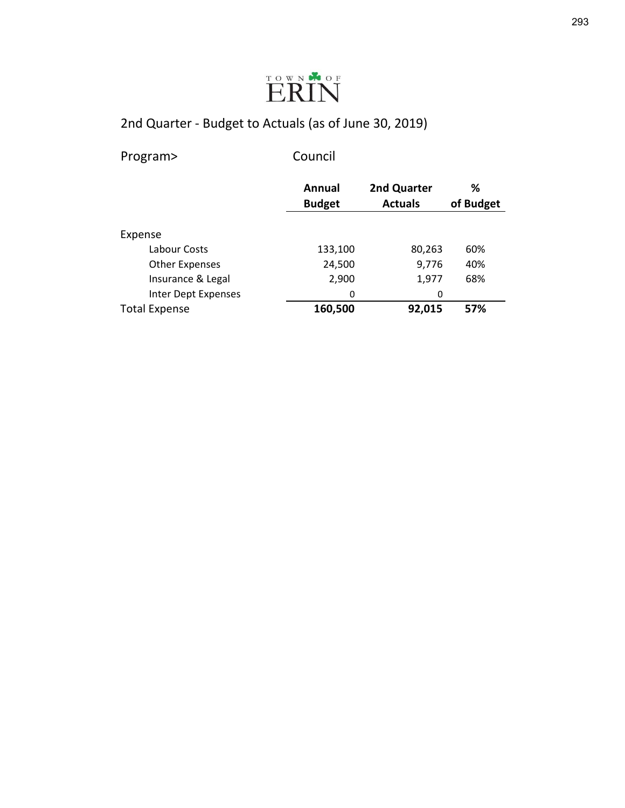

Program> Council

|                       | Annual        | 2nd Quarter    | ℅         |
|-----------------------|---------------|----------------|-----------|
|                       | <b>Budget</b> | <b>Actuals</b> | of Budget |
|                       |               |                |           |
| Expense               |               |                |           |
| Labour Costs          | 133,100       | 80,263         | 60%       |
| <b>Other Expenses</b> | 24,500        | 9,776          | 40%       |
| Insurance & Legal     | 2,900         | 1,977          | 68%       |
| Inter Dept Expenses   | 0             | 0              |           |
| <b>Total Expense</b>  | 160,500       | 92,015         | 57%       |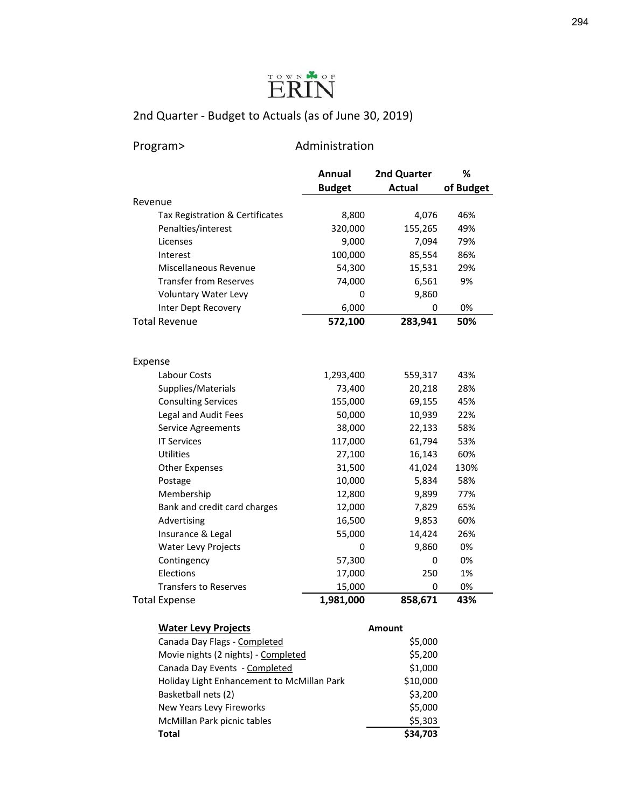

### Program> Administration

|                                 | Annual        | 2nd Quarter   | %         |
|---------------------------------|---------------|---------------|-----------|
|                                 | <b>Budget</b> | <b>Actual</b> | of Budget |
| Revenue                         |               |               |           |
| Tax Registration & Certificates | 8,800         | 4,076         | 46%       |
| Penalties/interest              | 320,000       | 155,265       | 49%       |
| Licenses                        | 9,000         | 7,094         | 79%       |
| Interest                        | 100,000       | 85,554        | 86%       |
| Miscellaneous Revenue           | 54,300        | 15,531        | 29%       |
| <b>Transfer from Reserves</b>   | 74,000        | 6,561         | 9%        |
| Voluntary Water Levy            | 0             | 9,860         |           |
| Inter Dept Recovery             | 6,000         | 0             | 0%        |
| Total Revenue                   | 572,100       | 283,941       | 50%       |
| Expense                         |               |               |           |
| Labour Costs                    | 1,293,400     | 559,317       | 43%       |
| Supplies/Materials              | 73,400        | 20,218        | 28%       |
| <b>Consulting Services</b>      | 155,000       | 69,155        | 45%       |
| Legal and Audit Fees            | 50,000        | 10,939        | 22%       |
| Service Agreements              | 38,000        | 22,133        | 58%       |
| <b>IT Services</b>              | 117,000       | 61,794        | 53%       |
| Utilities                       | 27,100        | 16,143        | 60%       |
| <b>Other Expenses</b>           | 31,500        | 41,024        | 130%      |
| Postage                         | 10,000        | 5,834         | 58%       |
| Membership                      | 12,800        | 9,899         | 77%       |
| Bank and credit card charges    | 12,000        | 7,829         | 65%       |
| Advertising                     | 16,500        | 9,853         | 60%       |
| Insurance & Legal               | 55,000        | 14,424        | 26%       |
| <b>Water Levy Projects</b>      | 0             | 9,860         | 0%        |
| Contingency                     | 57,300        | 0             | 0%        |
| Elections                       | 17,000        | 250           | 1%        |
| <b>Transfers to Reserves</b>    | 15,000        | 0             | 0%        |
| <b>Total Expense</b>            | 1,981,000     | 858,671       | 43%       |
| <b>Water Levy Projects</b>      |               | <b>Amount</b> |           |

| , ,                                        |          |
|--------------------------------------------|----------|
| Canada Day Flags - Completed               | \$5,000  |
| Movie nights (2 nights) - Completed        | \$5,200  |
| Canada Day Events - Completed              | \$1,000  |
| Holiday Light Enhancement to McMillan Park | \$10,000 |
| Basketball nets (2)                        | \$3,200  |
| New Years Levy Fireworks                   | \$5,000  |
| McMillan Park picnic tables                | \$5,303  |
| <b>Total</b>                               | \$34,703 |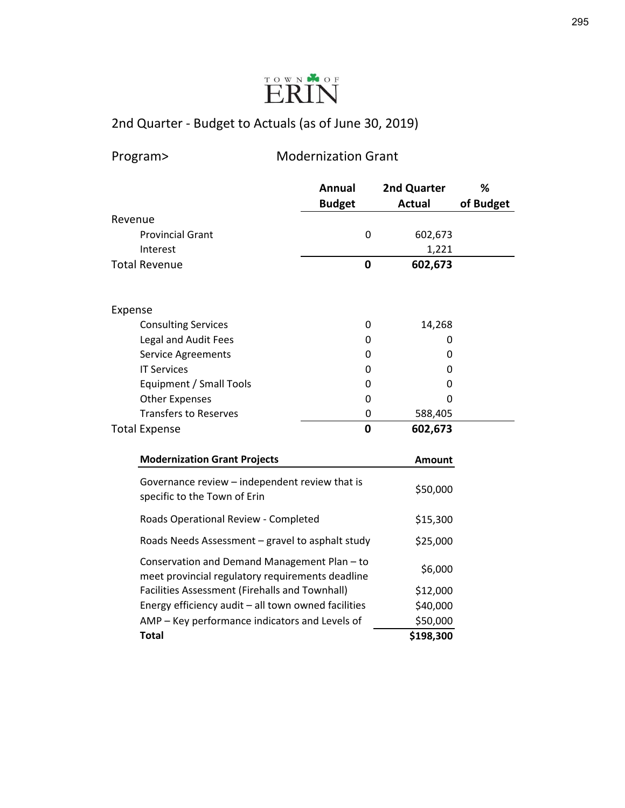

Program> Modernization Grant

|         |                                                                                                  | Annual        | 2nd Quarter   | %         |
|---------|--------------------------------------------------------------------------------------------------|---------------|---------------|-----------|
|         |                                                                                                  | <b>Budget</b> | <b>Actual</b> | of Budget |
| Revenue |                                                                                                  |               |               |           |
|         | <b>Provincial Grant</b>                                                                          | 0             | 602,673       |           |
|         | Interest                                                                                         |               | 1,221         |           |
|         | <b>Total Revenue</b>                                                                             | $\mathbf 0$   | 602,673       |           |
| Expense |                                                                                                  |               |               |           |
|         | <b>Consulting Services</b>                                                                       | 0             | 14,268        |           |
|         | Legal and Audit Fees                                                                             | 0             | 0             |           |
|         | <b>Service Agreements</b>                                                                        | 0             | 0             |           |
|         | <b>IT Services</b>                                                                               | 0             | 0             |           |
|         | Equipment / Small Tools                                                                          | 0             | 0             |           |
|         | <b>Other Expenses</b>                                                                            | 0             | 0             |           |
|         | <b>Transfers to Reserves</b>                                                                     | 0             | 588,405       |           |
|         | <b>Total Expense</b>                                                                             | $\mathbf 0$   | 602,673       |           |
|         | <b>Modernization Grant Projects</b>                                                              |               | <b>Amount</b> |           |
|         | Governance review – independent review that is<br>specific to the Town of Erin                   |               | \$50,000      |           |
|         | Roads Operational Review - Completed                                                             |               | \$15,300      |           |
|         | Roads Needs Assessment – gravel to asphalt study                                                 |               | \$25,000      |           |
|         | Conservation and Demand Management Plan - to<br>meet provincial regulatory requirements deadline |               | \$6,000       |           |
|         | <b>Facilities Assessment (Firehalls and Townhall)</b>                                            |               | \$12,000      |           |
|         | Energy efficiency audit - all town owned facilities                                              |               | \$40,000      |           |
|         | AMP - Key performance indicators and Levels of                                                   |               | \$50,000      |           |
|         | <b>Total</b>                                                                                     |               | \$198,300     |           |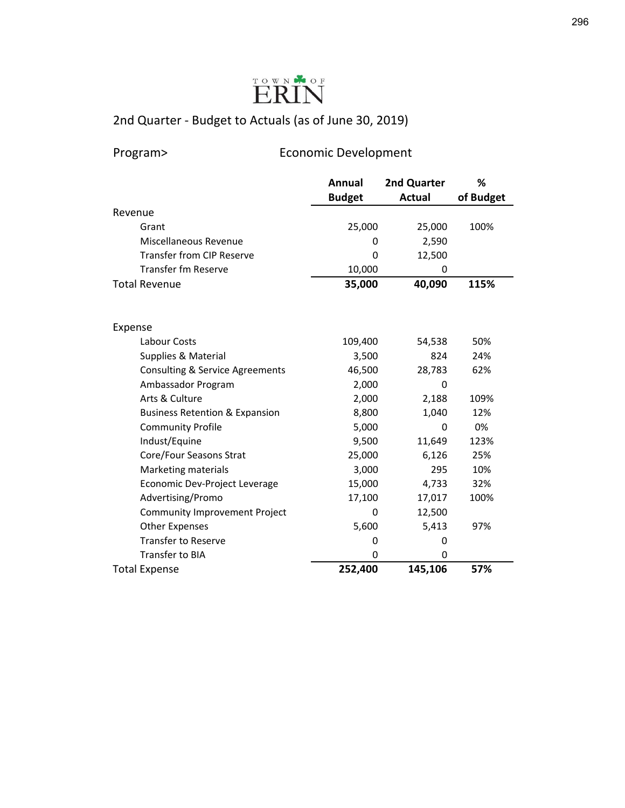

Program> Economic Development

|                                            | <b>Annual</b> | 2nd Quarter   | %         |
|--------------------------------------------|---------------|---------------|-----------|
|                                            | <b>Budget</b> | <b>Actual</b> | of Budget |
| Revenue                                    |               |               |           |
| Grant                                      | 25,000        | 25,000        | 100%      |
| Miscellaneous Revenue                      | 0             | 2,590         |           |
| <b>Transfer from CIP Reserve</b>           | 0             | 12,500        |           |
| <b>Transfer fm Reserve</b>                 | 10,000        | 0             |           |
| <b>Total Revenue</b>                       | 35,000        | 40,090        | 115%      |
|                                            |               |               |           |
| Expense                                    |               |               |           |
| Labour Costs                               | 109,400       | 54,538        | 50%       |
| Supplies & Material                        | 3,500         | 824           | 24%       |
| <b>Consulting &amp; Service Agreements</b> | 46,500        | 28,783        | 62%       |
| Ambassador Program                         | 2,000         | $\Omega$      |           |
| Arts & Culture                             | 2,000         | 2,188         | 109%      |
| <b>Business Retention &amp; Expansion</b>  | 8,800         | 1,040         | 12%       |
| <b>Community Profile</b>                   | 5,000         | 0             | 0%        |
| Indust/Equine                              | 9,500         | 11,649        | 123%      |
| Core/Four Seasons Strat                    | 25,000        | 6,126         | 25%       |
| Marketing materials                        | 3,000         | 295           | 10%       |
| Economic Dev-Project Leverage              | 15,000        | 4,733         | 32%       |
| Advertising/Promo                          | 17,100        | 17,017        | 100%      |
| Community Improvement Project              | 0             | 12,500        |           |
| <b>Other Expenses</b>                      | 5,600         | 5,413         | 97%       |
| <b>Transfer to Reserve</b>                 | 0             | 0             |           |
| Transfer to BIA                            | 0             | 0             |           |
| <b>Total Expense</b>                       | 252,400       | 145,106       | 57%       |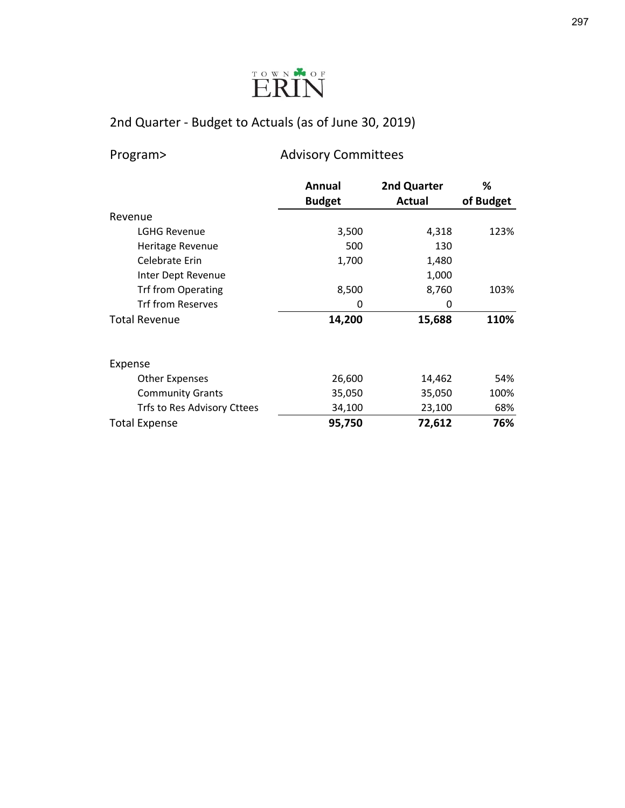

Program> Advisory Committees

|                             | Annual        | 2nd Quarter | %         |
|-----------------------------|---------------|-------------|-----------|
|                             | <b>Budget</b> | Actual      | of Budget |
| Revenue                     |               |             |           |
| <b>LGHG Revenue</b>         | 3,500         | 4,318       | 123%      |
| Heritage Revenue            | 500           | 130         |           |
| Celebrate Erin              | 1,700         | 1,480       |           |
| Inter Dept Revenue          |               | 1,000       |           |
| <b>Trf from Operating</b>   | 8,500         | 8,760       | 103%      |
| <b>Trf from Reserves</b>    | 0             | 0           |           |
| <b>Total Revenue</b>        | 14,200        | 15,688      | 110%      |
|                             |               |             |           |
| Expense                     |               |             |           |
| <b>Other Expenses</b>       | 26,600        | 14,462      | 54%       |
| <b>Community Grants</b>     | 35,050        | 35,050      | 100%      |
| Trfs to Res Advisory Cttees | 34,100        | 23,100      | 68%       |
| <b>Total Expense</b>        | 95,750        | 72,612      | 76%       |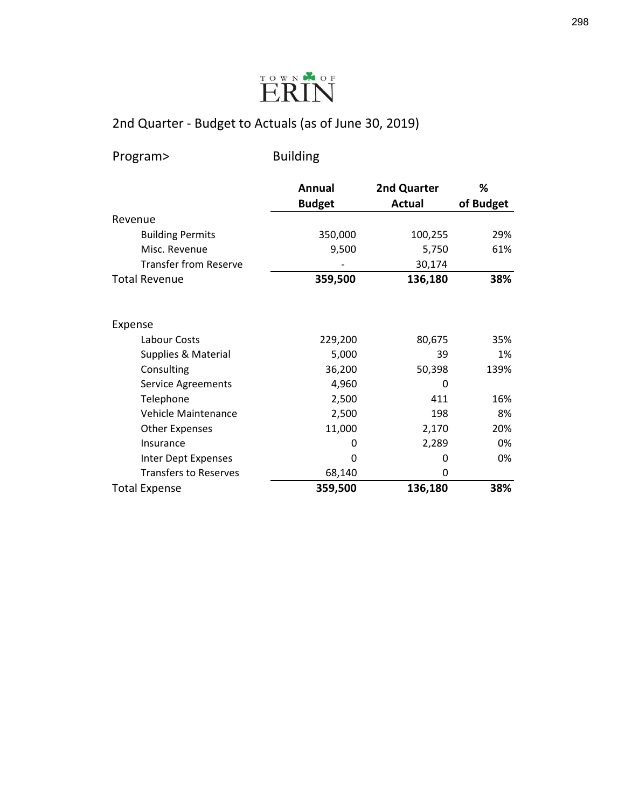

Program> Building

|                              | <b>Annual</b> | 2nd Quarter   | %         |
|------------------------------|---------------|---------------|-----------|
|                              | <b>Budget</b> | <b>Actual</b> | of Budget |
| Revenue                      |               |               |           |
| <b>Building Permits</b>      | 350,000       | 100,255       | 29%       |
| Misc. Revenue                | 9,500         | 5,750         | 61%       |
| <b>Transfer from Reserve</b> |               | 30,174        |           |
| <b>Total Revenue</b>         | 359,500       | 136,180       | 38%       |
| Expense                      |               |               |           |
| Labour Costs                 | 229,200       | 80,675        | 35%       |
| Supplies & Material          | 5,000         | 39            | 1%        |
| Consulting                   | 36,200        | 50,398        | 139%      |
| Service Agreements           | 4,960         | 0             |           |
| Telephone                    | 2,500         | 411           | 16%       |
| <b>Vehicle Maintenance</b>   | 2,500         | 198           | 8%        |
| <b>Other Expenses</b>        | 11,000        | 2,170         | 20%       |
| Insurance                    | 0             | 2,289         | 0%        |
| Inter Dept Expenses          | 0             | 0             | 0%        |
| <b>Transfers to Reserves</b> | 68,140        | 0             |           |
| <b>Total Expense</b>         | 359,500       | 136,180       | 38%       |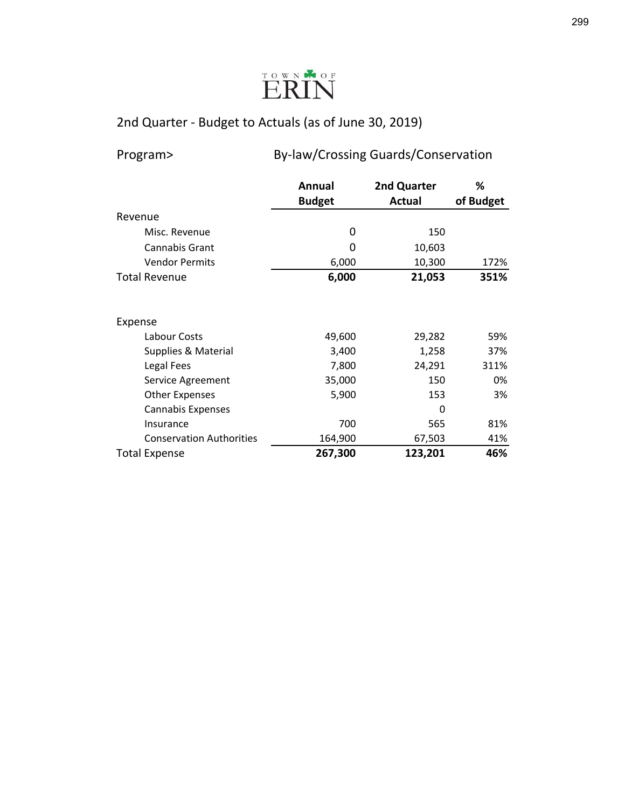

## Program> By-law/Crossing Guards/Conservation

|                                 | Annual        | 2nd Quarter | %         |
|---------------------------------|---------------|-------------|-----------|
|                                 | <b>Budget</b> | Actual      | of Budget |
| Revenue                         |               |             |           |
| Misc. Revenue                   | 0             | 150         |           |
| Cannabis Grant                  | 0             | 10,603      |           |
| <b>Vendor Permits</b>           | 6,000         | 10,300      | 172%      |
| <b>Total Revenue</b>            | 6,000         | 21,053      | 351%      |
|                                 |               |             |           |
| Expense                         |               |             |           |
| Labour Costs                    | 49,600        | 29,282      | 59%       |
| Supplies & Material             | 3,400         | 1,258       | 37%       |
| Legal Fees                      | 7,800         | 24,291      | 311%      |
| Service Agreement               | 35,000        | 150         | 0%        |
| <b>Other Expenses</b>           | 5,900         | 153         | 3%        |
| Cannabis Expenses               |               | 0           |           |
| Insurance                       | 700           | 565         | 81%       |
| <b>Conservation Authorities</b> | 164,900       | 67,503      | 41%       |
| <b>Total Expense</b>            | 267,300       | 123,201     | 46%       |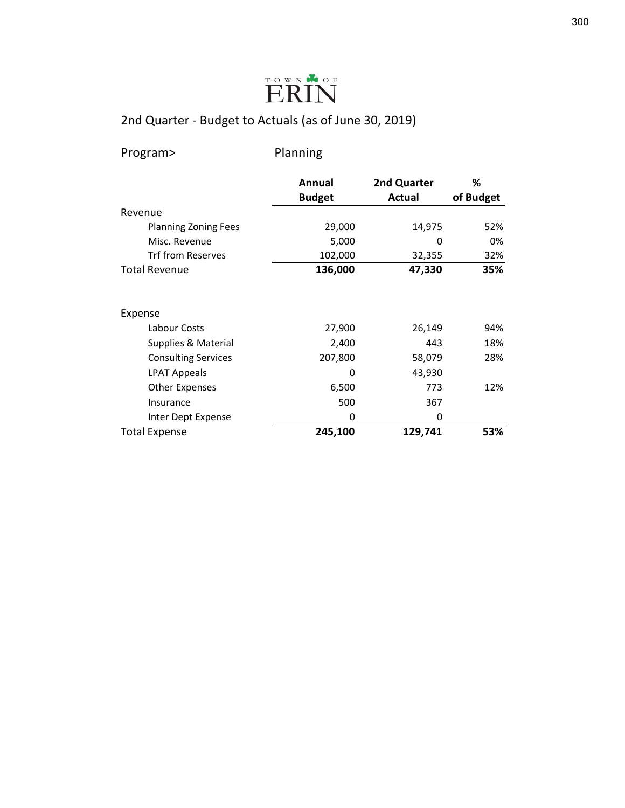

Program> Planning

|                             | Annual        | 2nd Quarter | %         |
|-----------------------------|---------------|-------------|-----------|
|                             | <b>Budget</b> | Actual      | of Budget |
| Revenue                     |               |             |           |
| <b>Planning Zoning Fees</b> | 29,000        | 14,975      | 52%       |
| Misc. Revenue               | 5,000         | 0           | 0%        |
| <b>Trf from Reserves</b>    | 102,000       | 32,355      | 32%       |
| <b>Total Revenue</b>        | 136,000       | 47,330      | 35%       |
| Expense                     |               |             |           |
| Labour Costs                | 27,900        | 26,149      | 94%       |
| Supplies & Material         | 2,400         | 443         | 18%       |
| <b>Consulting Services</b>  | 207,800       | 58,079      | 28%       |
| LPAT Appeals                | 0             | 43,930      |           |
| Other Expenses              | 6,500         | 773         | 12%       |
| Insurance                   | 500           | 367         |           |
| Inter Dept Expense          | 0             | 0           |           |
| <b>Total Expense</b>        | 245,100       | 129,741     | 53%       |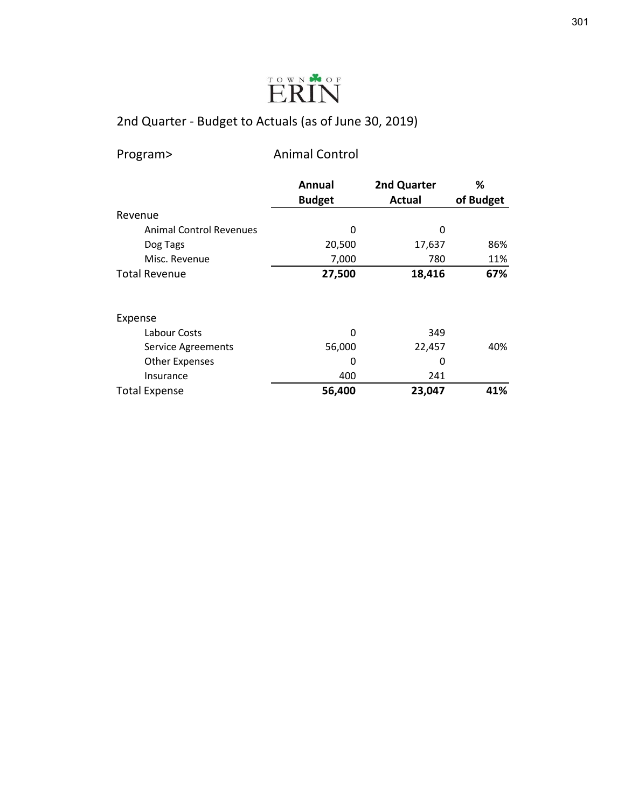

| Program> |  |  |
|----------|--|--|
|          |  |  |

param> Animal Control

|                                | Annual        | 2nd Quarter   | %         |
|--------------------------------|---------------|---------------|-----------|
|                                | <b>Budget</b> | <b>Actual</b> | of Budget |
| Revenue                        |               |               |           |
| <b>Animal Control Revenues</b> | 0             | 0             |           |
| Dog Tags                       | 20,500        | 17,637        | 86%       |
| Misc. Revenue                  | 7,000         | 780           | 11%       |
| <b>Total Revenue</b>           | 27,500        | 18,416        | 67%       |
| Expense                        |               |               |           |
| Labour Costs                   | 0             | 349           |           |
| Service Agreements             | 56,000        | 22,457        | 40%       |
| <b>Other Expenses</b>          | 0             | 0             |           |
| Insurance                      | 400           | 241           |           |
| <b>Total Expense</b>           | 56,400        | 23,047        | 41%       |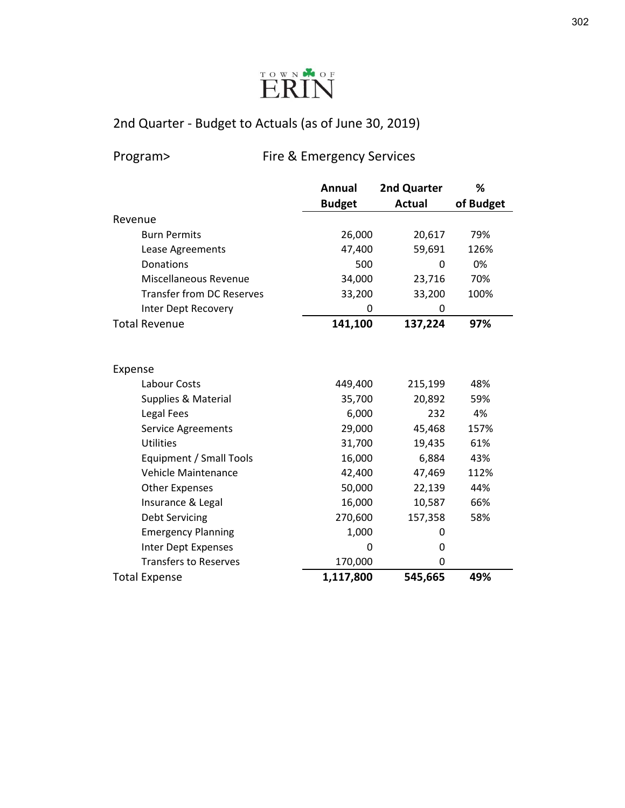

Program> Fire & Emergency Services

|                                  | <b>Annual</b> | 2nd Quarter   | %         |
|----------------------------------|---------------|---------------|-----------|
|                                  | <b>Budget</b> | <b>Actual</b> | of Budget |
| Revenue                          |               |               |           |
| <b>Burn Permits</b>              | 26,000        | 20,617        | 79%       |
| Lease Agreements                 | 47,400        | 59,691        | 126%      |
| Donations                        | 500           | 0             | 0%        |
| Miscellaneous Revenue            | 34,000        | 23,716        | 70%       |
| <b>Transfer from DC Reserves</b> | 33,200        | 33,200        | 100%      |
| Inter Dept Recovery              | 0             | 0             |           |
| <b>Total Revenue</b>             | 141,100       | 137,224       | 97%       |
|                                  |               |               |           |
|                                  |               |               |           |
| Expense                          |               |               |           |
| Labour Costs                     | 449,400       | 215,199       | 48%       |
| Supplies & Material              | 35,700        | 20,892        | 59%       |
| Legal Fees                       | 6,000         | 232           | 4%        |
| Service Agreements               | 29,000        | 45,468        | 157%      |
| <b>Utilities</b>                 | 31,700        | 19,435        | 61%       |
| Equipment / Small Tools          | 16,000        | 6,884         | 43%       |
| Vehicle Maintenance              | 42,400        | 47,469        | 112%      |
| <b>Other Expenses</b>            | 50,000        | 22,139        | 44%       |
| Insurance & Legal                | 16,000        | 10,587        | 66%       |
| <b>Debt Servicing</b>            | 270,600       | 157,358       | 58%       |
| <b>Emergency Planning</b>        | 1,000         | 0             |           |
| Inter Dept Expenses              | 0             | 0             |           |
| <b>Transfers to Reserves</b>     | 170,000       | 0             |           |
| <b>Total Expense</b>             | 1,117,800     | 545,665       | 49%       |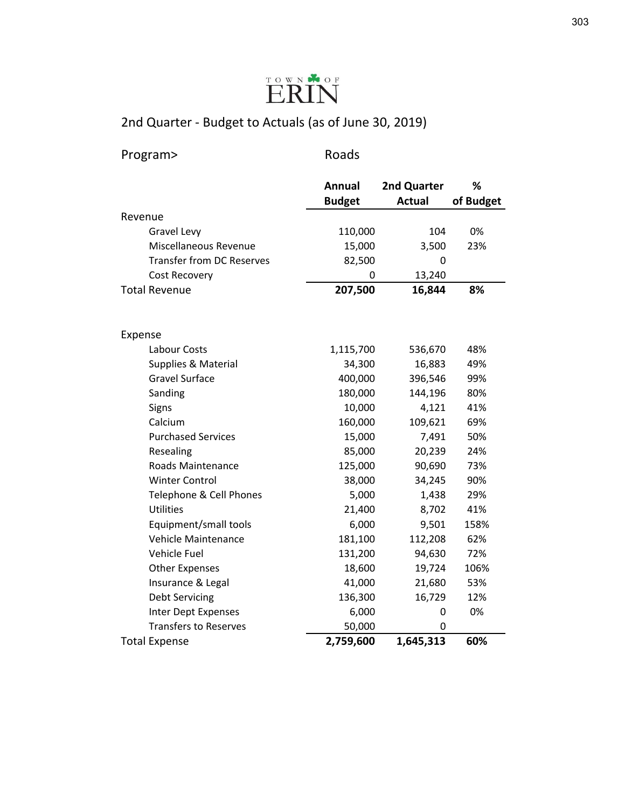

| Program>                         | Roads         |               |           |
|----------------------------------|---------------|---------------|-----------|
|                                  | <b>Annual</b> | 2nd Quarter   | %         |
|                                  | <b>Budget</b> | <b>Actual</b> | of Budget |
| Revenue                          |               |               |           |
| <b>Gravel Levy</b>               | 110,000       | 104           | 0%        |
| Miscellaneous Revenue            | 15,000        | 3,500         | 23%       |
| <b>Transfer from DC Reserves</b> | 82,500        | 0             |           |
| <b>Cost Recovery</b>             | 0             | 13,240        |           |
| <b>Total Revenue</b>             | 207,500       | 16,844        | 8%        |
|                                  |               |               |           |
| Expense                          |               |               |           |
| Labour Costs                     | 1,115,700     | 536,670       | 48%       |
| Supplies & Material              | 34,300        | 16,883        | 49%       |
| <b>Gravel Surface</b>            | 400,000       | 396,546       | 99%       |
| Sanding                          | 180,000       | 144,196       | 80%       |
| Signs                            | 10,000        | 4,121         | 41%       |
| Calcium                          | 160,000       | 109,621       | 69%       |
| <b>Purchased Services</b>        | 15,000        | 7,491         | 50%       |
| Resealing                        | 85,000        | 20,239        | 24%       |
| Roads Maintenance                | 125,000       | 90,690        | 73%       |
| <b>Winter Control</b>            | 38,000        | 34,245        | 90%       |
| Telephone & Cell Phones          | 5,000         | 1,438         | 29%       |
| <b>Utilities</b>                 | 21,400        | 8,702         | 41%       |
| Equipment/small tools            | 6,000         | 9,501         | 158%      |
| Vehicle Maintenance              | 181,100       | 112,208       | 62%       |
| Vehicle Fuel                     | 131,200       | 94,630        | 72%       |
| <b>Other Expenses</b>            | 18,600        | 19,724        | 106%      |
| Insurance & Legal                | 41,000        | 21,680        | 53%       |
| <b>Debt Servicing</b>            | 136,300       | 16,729        | 12%       |
| Inter Dept Expenses              | 6,000         | 0             | 0%        |
| <b>Transfers to Reserves</b>     | 50,000        | 0             |           |
| <b>Total Expense</b>             | 2,759,600     | 1,645,313     | 60%       |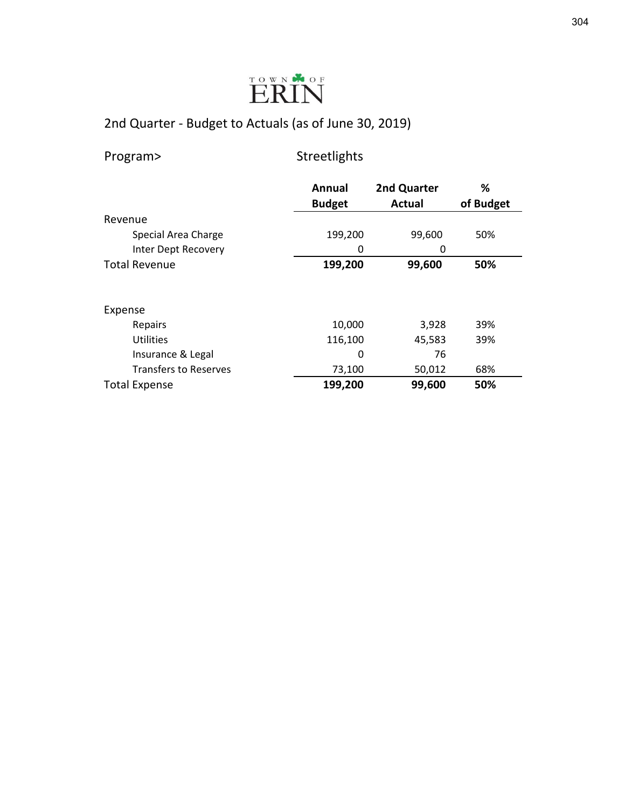

| Program> |  |  |
|----------|--|--|
|          |  |  |

rogram> Streetlights

|                              | Annual        | 2nd Quarter | %         |
|------------------------------|---------------|-------------|-----------|
|                              | <b>Budget</b> | Actual      | of Budget |
| Revenue                      |               |             |           |
| Special Area Charge          | 199,200       | 99,600      | 50%       |
| Inter Dept Recovery          | 0             | 0           |           |
| <b>Total Revenue</b>         | 199,200       | 99,600      | 50%       |
|                              |               |             |           |
| Expense                      |               |             |           |
| Repairs                      | 10,000        | 3,928       | 39%       |
| <b>Utilities</b>             | 116,100       | 45,583      | 39%       |
| Insurance & Legal            | 0             | 76          |           |
| <b>Transfers to Reserves</b> | 73,100        | 50,012      | 68%       |
| <b>Total Expense</b>         | 199,200       | 99,600      | 50%       |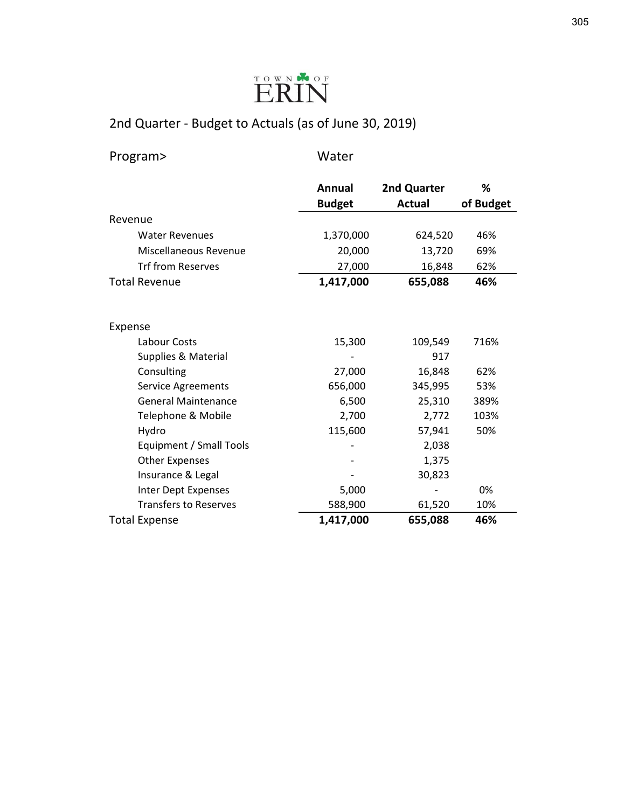

Program> Water

|                              | <b>Annual</b> | 2nd Quarter   | %         |
|------------------------------|---------------|---------------|-----------|
|                              | <b>Budget</b> | <b>Actual</b> | of Budget |
| Revenue                      |               |               |           |
| <b>Water Revenues</b>        | 1,370,000     | 624,520       | 46%       |
| Miscellaneous Revenue        | 20,000        | 13,720        | 69%       |
| <b>Trf from Reserves</b>     | 27,000        | 16,848        | 62%       |
| <b>Total Revenue</b>         | 1,417,000     | 655,088       | 46%       |
|                              |               |               |           |
|                              |               |               |           |
| Expense                      |               |               |           |
| Labour Costs                 | 15,300        | 109,549       | 716%      |
| Supplies & Material          |               | 917           |           |
| Consulting                   | 27,000        | 16,848        | 62%       |
| Service Agreements           | 656,000       | 345,995       | 53%       |
| <b>General Maintenance</b>   | 6,500         | 25,310        | 389%      |
| Telephone & Mobile           | 2,700         | 2,772         | 103%      |
| Hydro                        | 115,600       | 57,941        | 50%       |
| Equipment / Small Tools      |               | 2,038         |           |
| <b>Other Expenses</b>        |               | 1,375         |           |
| Insurance & Legal            |               | 30,823        |           |
| Inter Dept Expenses          | 5,000         |               | 0%        |
| <b>Transfers to Reserves</b> | 588,900       | 61,520        | 10%       |
| <b>Total Expense</b>         | 1,417,000     | 655,088       | 46%       |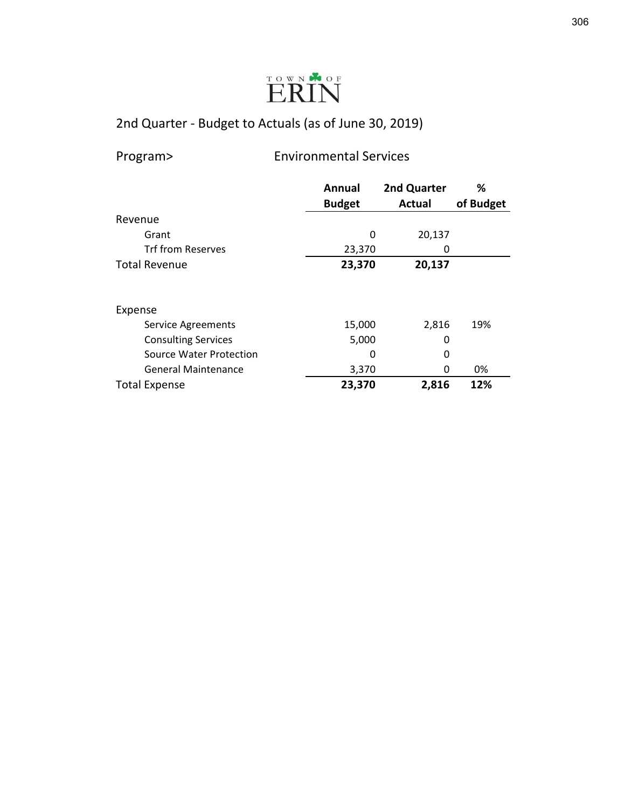

Program> Environmental Services

|                            | Annual        | 2nd Quarter   | ℅         |
|----------------------------|---------------|---------------|-----------|
|                            | <b>Budget</b> | <b>Actual</b> | of Budget |
| Revenue                    |               |               |           |
| Grant                      | 0             | 20,137        |           |
| <b>Trf from Reserves</b>   | 23,370        | 0             |           |
| <b>Total Revenue</b>       | 23,370        | 20,137        |           |
|                            |               |               |           |
| Expense                    |               |               |           |
| <b>Service Agreements</b>  | 15,000        | 2,816         | 19%       |
| <b>Consulting Services</b> | 5,000         | 0             |           |
| Source Water Protection    | 0             | 0             |           |
| <b>General Maintenance</b> | 3,370         | 0             | 0%        |
| <b>Total Expense</b>       | 23,370        | 2,816         | 12%       |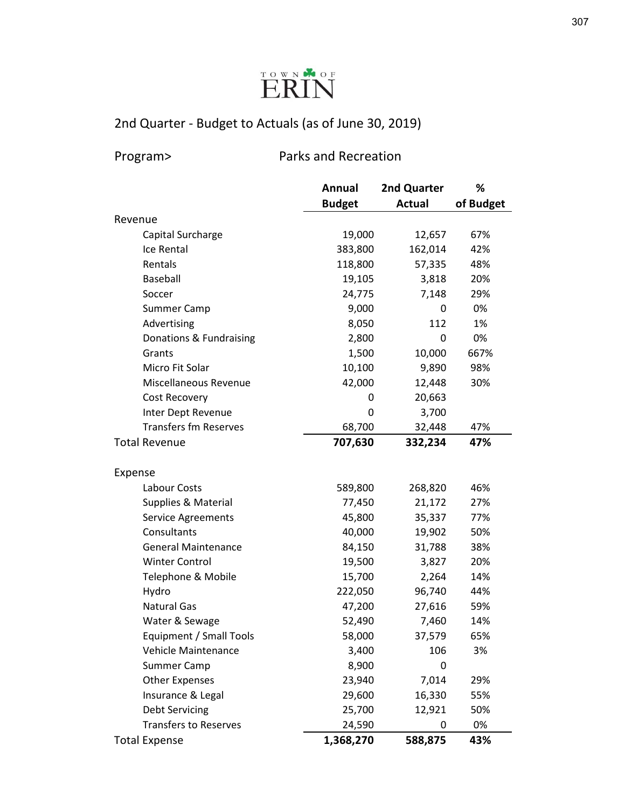

Program> Parks and Recreation

|                              | Annual        | 2nd Quarter   | %         |
|------------------------------|---------------|---------------|-----------|
|                              | <b>Budget</b> | <b>Actual</b> | of Budget |
| Revenue                      |               |               |           |
| Capital Surcharge            | 19,000        | 12,657        | 67%       |
| Ice Rental                   | 383,800       | 162,014       | 42%       |
| Rentals                      | 118,800       | 57,335        | 48%       |
| <b>Baseball</b>              | 19,105        | 3,818         | 20%       |
| Soccer                       | 24,775        | 7,148         | 29%       |
| <b>Summer Camp</b>           | 9,000         | 0             | 0%        |
| Advertising                  | 8,050         | 112           | 1%        |
| Donations & Fundraising      | 2,800         | 0             | 0%        |
| Grants                       | 1,500         | 10,000        | 667%      |
| Micro Fit Solar              | 10,100        | 9,890         | 98%       |
| Miscellaneous Revenue        | 42,000        | 12,448        | 30%       |
| Cost Recovery                | 0             | 20,663        |           |
| Inter Dept Revenue           | 0             | 3,700         |           |
| <b>Transfers fm Reserves</b> | 68,700        | 32,448        | 47%       |
| <b>Total Revenue</b>         | 707,630       | 332,234       | 47%       |
|                              |               |               |           |
| Expense                      |               |               |           |
| Labour Costs                 | 589,800       | 268,820       | 46%       |
| Supplies & Material          | 77,450        | 21,172        | 27%       |
| Service Agreements           | 45,800        | 35,337        | 77%       |
| Consultants                  | 40,000        | 19,902        | 50%       |
| <b>General Maintenance</b>   | 84,150        | 31,788        | 38%       |
| <b>Winter Control</b>        | 19,500        | 3,827         | 20%       |
| Telephone & Mobile           | 15,700        | 2,264         | 14%       |
| Hydro                        | 222,050       | 96,740        | 44%       |
| <b>Natural Gas</b>           | 47,200        | 27,616        | 59%       |
| Water & Sewage               | 52,490        | 7,460         | 14%       |
| Equipment / Small Tools      | 58,000        | 37,579        | 65%       |
| Vehicle Maintenance          | 3,400         | 106           | 3%        |
| Summer Camp                  | 8,900         | 0             |           |
| <b>Other Expenses</b>        | 23,940        | 7,014         | 29%       |
| Insurance & Legal            | 29,600        | 16,330        | 55%       |
| <b>Debt Servicing</b>        | 25,700        | 12,921        | 50%       |
| <b>Transfers to Reserves</b> | 24,590        | 0             | 0%        |
| <b>Total Expense</b>         | 1,368,270     | 588,875       | 43%       |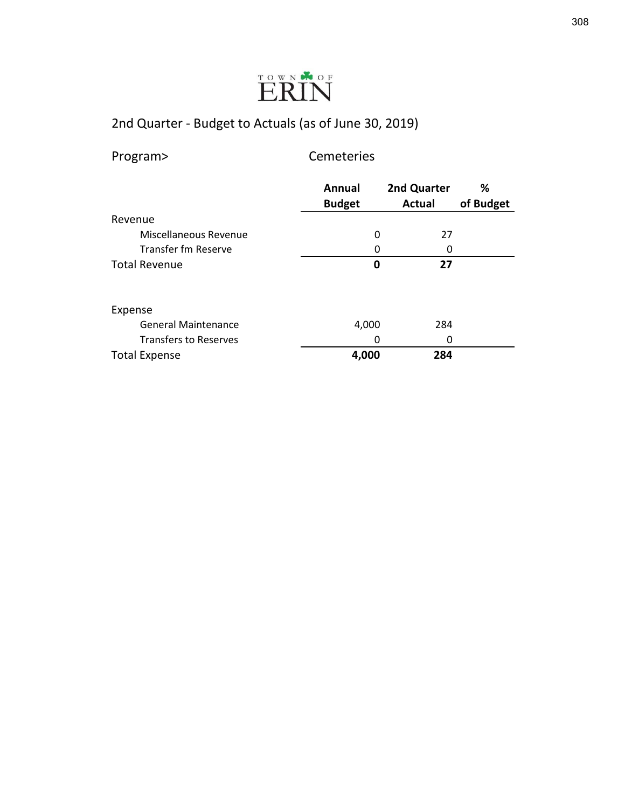

| Program>                     | Cemeteries              |                              |                |
|------------------------------|-------------------------|------------------------------|----------------|
|                              | Annual<br><b>Budget</b> | 2nd Quarter<br><b>Actual</b> | ℅<br>of Budget |
| Revenue                      |                         |                              |                |
| Miscellaneous Revenue        | 0                       | 27                           |                |
| Transfer fm Reserve          | 0                       | 0                            |                |
| <b>Total Revenue</b>         | 0                       | 27                           |                |
| Expense                      |                         |                              |                |
| <b>General Maintenance</b>   | 4,000                   | 284                          |                |
| <b>Transfers to Reserves</b> | 0                       | n                            |                |
| <b>Total Expense</b>         | 4,000                   | 284                          |                |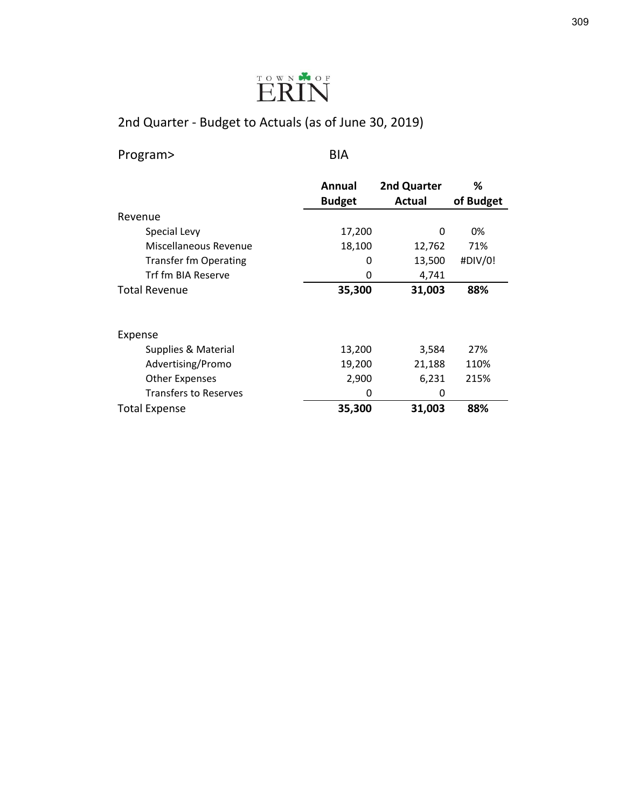

Program> BIA

|                              | Annual        | 2nd Quarter | %         |
|------------------------------|---------------|-------------|-----------|
|                              | <b>Budget</b> | Actual      | of Budget |
| Revenue                      |               |             |           |
| Special Levy                 | 17,200        | 0           | 0%        |
| Miscellaneous Revenue        | 18,100        | 12,762      | 71%       |
| <b>Transfer fm Operating</b> | 0             | 13,500      | #DIV/0!   |
| Trf fm BIA Reserve           | 0             | 4,741       |           |
| <b>Total Revenue</b>         | 35,300        | 31,003      | 88%       |
|                              |               |             |           |
| Expense                      |               |             |           |
| Supplies & Material          | 13,200        | 3,584       | 27%       |
| Advertising/Promo            | 19,200        | 21,188      | 110%      |
| <b>Other Expenses</b>        | 2,900         | 6,231       | 215%      |
| <b>Transfers to Reserves</b> | 0             | 0           |           |
| <b>Total Expense</b>         | 35,300        | 31,003      | 88%       |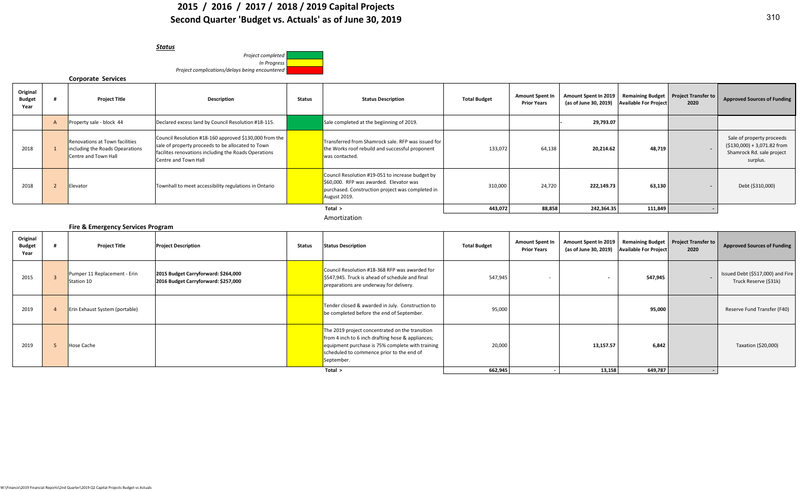### **2015 / 2016 / 2017 / 2018 / 2019 Capital Projects Second Quarter 'Budget vs. Actuals' as of June 30, 2019**

| <b>Status</b>                                  |
|------------------------------------------------|
| Project completed                              |
| In Progress                                    |
| Project complications/delays being encountered |

### **Corporate Services**

| Original<br><b>Budget</b><br>Year | <b>Project Title</b>                                                                             | <b>Description</b>                                                                                                                                                                          | Status | <b>Status Description</b>                                                                                                                                       | <b>Total Budget</b> | <b>Amount Spent In</b><br><b>Prior Years</b> | Amount Spent In 2019   Remaining Budget   Project Transfer to<br>(as of June 30, 2019) | <b>Available For Project</b> | 2020 | <b>Approved Sources of Funding</b>                                                                 |
|-----------------------------------|--------------------------------------------------------------------------------------------------|---------------------------------------------------------------------------------------------------------------------------------------------------------------------------------------------|--------|-----------------------------------------------------------------------------------------------------------------------------------------------------------------|---------------------|----------------------------------------------|----------------------------------------------------------------------------------------|------------------------------|------|----------------------------------------------------------------------------------------------------|
|                                   | Property sale - block 44                                                                         | Declared excess land by Council Resolution #18-115.                                                                                                                                         |        | Sale completed at the begiinning of 2019.                                                                                                                       |                     |                                              | 29,793.07                                                                              |                              |      |                                                                                                    |
| 2018                              | <b>Renovations at Town facilities</b><br>including the Roads Opearations<br>Centre and Town Hall | Council Resolution #18-160 approved \$130,000 from the<br>sale of property proceeds to be allocated to Town<br>facilites renovations including the Roads Operations<br>Centre and Town Hall |        | Transferred from Shamrock sale. RFP was issued for<br>the Works roof rebuild and successful proponent<br>was contacted.                                         | 133,072             | 64,138                                       | 20,214.62                                                                              | 48,719                       |      | Sale of property proceeds<br>$(5130,000) + 3,071.82$ from<br>Shamrock Rd. sale project<br>surplus. |
| 2018                              | Elevator                                                                                         | Townhall to meet accessibility regulations in Ontario                                                                                                                                       |        | Council Resolution #19-051 to increase budget by<br>\$60,000. RFP was awarded. Elevator was<br>purchased. Construction project was completed in<br>August 2019. | 310,000             | 24,720                                       | 222,149.73                                                                             | 63,130                       |      | Debt (\$310,000)                                                                                   |
|                                   |                                                                                                  |                                                                                                                                                                                             |        | Total >                                                                                                                                                         | 443,072             | 88,858                                       | 242,364.35                                                                             | 111,849                      |      |                                                                                                    |

Amortization

| Fire & Emergency Services Program |  |
|-----------------------------------|--|
|-----------------------------------|--|

| Original<br><b>Budget</b><br>Year | <b>Project Title</b>                       | <b>Project Description</b>                                                 | Status | <b>Status Description</b>                                                                                                                                                                                           | <b>Total Budget</b> | <b>Amount Spent In</b><br><b>Prior Years</b> | Amount Spent In 2019   Remaining Budget   Project Transfer to  <br>(as of June 30, 2019) Available For Project |         | 2020 | <b>Approved Sources of Funding</b>                        |
|-----------------------------------|--------------------------------------------|----------------------------------------------------------------------------|--------|---------------------------------------------------------------------------------------------------------------------------------------------------------------------------------------------------------------------|---------------------|----------------------------------------------|----------------------------------------------------------------------------------------------------------------|---------|------|-----------------------------------------------------------|
| 2015                              | Pumper 11 Replacement - Erin<br>Station 10 | 2015 Budget Carryforward: \$264,000<br>2016 Budget Carryforward: \$257,000 |        | Council Resolution #18-368 RFP was awarded for<br>\$547,945. Truck is ahead of schedule and final<br>preparations are underway for delivery.                                                                        | 547,945             |                                              |                                                                                                                | 547,945 |      | Issued Debt (\$517,000) and Fire<br>Truck Reserve (\$31k) |
| 2019                              | Erin Exhaust System (portable)             |                                                                            |        | Tender closed & awarded in July. Construction to<br>be completed before the end of September.                                                                                                                       | 95,000              |                                              |                                                                                                                | 95,000  |      | Reserve Fund Transfer (F40)                               |
| 2019                              | <b>Hose Cache</b>                          |                                                                            |        | The 2019 project concentrated on the transition<br>from 4 inch to 6 inch drafting hose & appliances;<br>equipment purchase is 75% complete with training<br>scheduled to commence prior to the end of<br>September. | 20,000              |                                              | 13,157.57                                                                                                      | 6,842   |      | Taxation (\$20,000)                                       |
|                                   |                                            |                                                                            |        | Total >                                                                                                                                                                                                             | 662,945             |                                              | 13,158                                                                                                         | 649,787 |      |                                                           |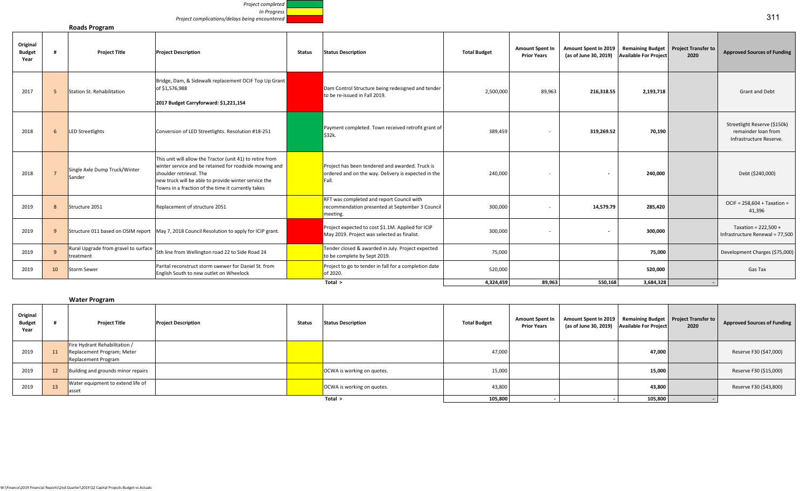

### **Roads Program**

| Original<br><b>Budget</b><br>Year |                 | <b>Project Title</b>                                                                                                  | <b>Project Description</b>                                                                                                                                                                                                                                   | <b>Status</b> | <b>Status Description</b>                                                                                       | <b>Total Budget</b> | <b>Amount Spent In</b><br><b>Prior Years</b> | Amount Spent In 2019<br>(as of June 30, 2019) | <b>Available For Project</b> | Remaining Budget Project Transfer to<br>2020 | <b>Approved Sources of Funding</b>                                             |
|-----------------------------------|-----------------|-----------------------------------------------------------------------------------------------------------------------|--------------------------------------------------------------------------------------------------------------------------------------------------------------------------------------------------------------------------------------------------------------|---------------|-----------------------------------------------------------------------------------------------------------------|---------------------|----------------------------------------------|-----------------------------------------------|------------------------------|----------------------------------------------|--------------------------------------------------------------------------------|
| 2017                              |                 | Station St. Rehabilitation                                                                                            | Bridge, Dam, & Sidewalk replacement OCIF Top Up Grant<br>of \$1,576,988<br>2017 Budget Carryforward: \$1,221,154                                                                                                                                             |               | Dam Control Structure being redesigned and tender<br>to be re-issued in Fall 2019.                              | 2,500,000           | 89,963                                       | 216,318.55                                    | 2,193,718                    |                                              | <b>Grant and Debt</b>                                                          |
| 2018                              | 6               | <b>LED Streetlights</b>                                                                                               | Conversion of LED Streetlights. Resolution #18-251                                                                                                                                                                                                           |               | Payment completed. Town received retrofit grant of<br>\$32k.                                                    | 389,459             |                                              | 319,269.52                                    | 70,190                       |                                              | Streetlight Reserve (\$150k)<br>remainder loan from<br>Infrastructure Reserve. |
| 2018                              |                 | Single Axle Dump Truck/Winter<br>Sander                                                                               | This unit will allow the Tractor (unit 41) to retire from<br>winter service and be retained for roadside mowing and<br>shoulder retrieval. The<br>new truck will be able to provide winter service the<br>Towns in a fraction of the time it currently takes |               | Project has been tendered and awarded. Truck is<br>ordered and on the way. Delivery is expected in the<br>Fall. | 240,000             |                                              |                                               | 240,000                      |                                              | Debt (\$240,000)                                                               |
| 2019                              |                 | Structure 2051                                                                                                        | Replacement of structure 2051                                                                                                                                                                                                                                |               | RFT was completed and report Council with<br>recommendation presented at September 3 Council<br>meeting.        | 300,000             |                                              | 14,579.79                                     | 285,420                      |                                              | $OCIF = 258,604 + Taxation =$<br>41,396                                        |
| 2019                              |                 |                                                                                                                       | Structure 011 based on OSIM report   May 7, 2018 Council Resolution to apply for ICIP grant.                                                                                                                                                                 |               | Project expected to cost \$1.1M. Applied for ICIP<br>May 2019. Project was selected as finalist.                | 300,000             |                                              | $\overline{\phantom{a}}$                      | 300,000                      |                                              | Taxation = $222.500 +$<br>Infrastructure Renewal = 77,500                      |
| 2019                              |                 | Rural Upgrade from gravel to surface<br>5th line from Wellington road 22 to Side Road 24<br>treatment                 |                                                                                                                                                                                                                                                              |               | Tender closed & awarded in July. Project expected<br>to be complete by Sept 2019.                               | 75,000              |                                              |                                               | 75,000                       |                                              | Development Charges (\$75,000)                                                 |
| 2019                              | 10 <sup>1</sup> | Parital reconstruct storm swewer for Daniel St. from<br><b>Storm Sewer</b><br>English South to new outlet on Wheelock |                                                                                                                                                                                                                                                              |               | Project to go to tender in fall for a completion date<br>of 2020.                                               | 520,000             |                                              |                                               | 520,000                      |                                              | Gas Tax                                                                        |
|                                   |                 |                                                                                                                       |                                                                                                                                                                                                                                                              |               | Total $>$                                                                                                       | 4.324.459           | 89.963                                       | 550.168                                       | 3.684.328                    |                                              |                                                                                |

|                                   |                 | <b>Water Program</b>                                                                      |                            |               |                            |                     |                                              |                                                                                                              |         |      |                                    |
|-----------------------------------|-----------------|-------------------------------------------------------------------------------------------|----------------------------|---------------|----------------------------|---------------------|----------------------------------------------|--------------------------------------------------------------------------------------------------------------|---------|------|------------------------------------|
| Original<br><b>Budget</b><br>Year |                 | <b>Project Title</b>                                                                      | <b>Project Description</b> | <b>Status</b> | <b>Status Description</b>  | <b>Total Budget</b> | <b>Amount Spent In</b><br><b>Prior Years</b> | Amount Spent In 2019   Remaining Budget   Project Transfer to<br>(as of June 30, 2019) Available For Project |         | 2020 | <b>Approved Sources of Funding</b> |
| 2019                              | 11              | Fire Hydrant Rehabilitation /<br>Replacement Program; Meter<br><b>Replacement Program</b> |                            |               |                            | 47,000              |                                              |                                                                                                              | 47,000  |      | Reserve F30 (\$47,000)             |
| 2019                              | 12 <sup>2</sup> | Building and grounds minor repairs                                                        |                            |               | OCWA is working on quotes. | 15,000              |                                              |                                                                                                              | 15,000  |      | Reserve F30 (\$15,000)             |
| 2019                              | 13              | Water equipment to extend life of<br>lasset                                               |                            |               | OCWA is working on quotes. | 43,800              |                                              |                                                                                                              | 43,800  |      | Reserve F30 (\$43,800)             |
|                                   |                 |                                                                                           |                            |               | Total >                    | 105,800             |                                              |                                                                                                              | 105,800 |      |                                    |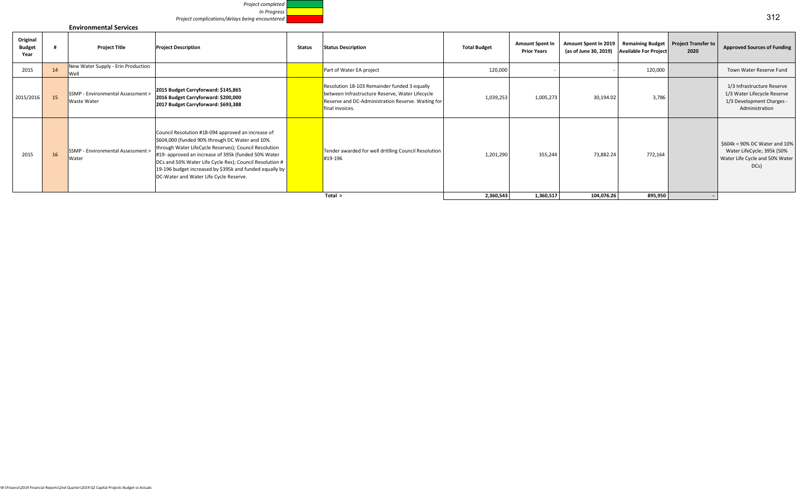

### **Environmental Services**

| Original<br><b>Budget</b><br>Year |                 | <b>Project Title</b>                             | <b>Project Description</b>                                                                                                                                                                                                                                                                                                                                                           | Status  | <b>Status Description</b>                                                                                                                                                | <b>Total Budget</b> | <b>Amount Spent In</b><br><b>Prior Years</b> | Amount Spent In 2019<br>(as of June 30, 2019) | <b>Available For Project</b> | Remaining Budget Project Transfer to<br>2020 | <b>Approved Sources of Funding</b>                                                                       |
|-----------------------------------|-----------------|--------------------------------------------------|--------------------------------------------------------------------------------------------------------------------------------------------------------------------------------------------------------------------------------------------------------------------------------------------------------------------------------------------------------------------------------------|---------|--------------------------------------------------------------------------------------------------------------------------------------------------------------------------|---------------------|----------------------------------------------|-----------------------------------------------|------------------------------|----------------------------------------------|----------------------------------------------------------------------------------------------------------|
| 2015                              | 14              | New Water Supply - Erin Production<br>Well       |                                                                                                                                                                                                                                                                                                                                                                                      |         | Part of Water EA project                                                                                                                                                 | 120,000             |                                              |                                               | 120,000                      |                                              | Town Water Reserve Fund                                                                                  |
| 2015/2016                         | 15              | SSMP - Environmental Assessment ><br>Waste Water | 2015 Budget Carryforward: \$145,865<br>2016 Budget Carryforward: \$200,000<br>2017 Budget Carryforward: \$693,388                                                                                                                                                                                                                                                                    |         | Resolution 18-103 Remainder funded 3 equally<br>between Infrastructure Reserve, Water Lifecycle<br>Reserve and DC-Administration Reserve. Waiting for<br>final invoices. | 1,039,253           | 1,005,273                                    | 30,194.02                                     | 3,786                        |                                              | 1/3 Infrastructure Reserve<br>1/3 Water Lifecycle Reserve<br>1/3 Development Charges -<br>Administration |
| 2015                              | 16 <sup>1</sup> | SSMP - Environmental Assessment ><br>Water       | Council Resolution #18-094 approved an increase of<br>\$604,000 (funded 90% through DC Water and 10%<br>through Water LifeCycle Reserves); Council Resolution<br>#19- approved an increase of 395k (funded 50% Water<br>DCs and 50% Water Life Cycle Res); Council Resolution #<br>19-196 budget increased by \$395k and funded equally by<br>DC-Water and Water Life Cycle Reserve. |         | Tender awarded for well dritlling Council Resolution<br>#19-196                                                                                                          | 1,201,290           | 355,244                                      | 73,882.24                                     | 772,164                      |                                              | \$604k = 90% DC Water and 10%<br>Water LifeCycle; 395k (50%<br>Water Life Cycle and 50% Water<br>DCs     |
|                                   |                 |                                                  |                                                                                                                                                                                                                                                                                                                                                                                      | Total > | 2,360,543                                                                                                                                                                | 1,360,517           | 104,076.26                                   | 895,950                                       |                              |                                              |                                                                                                          |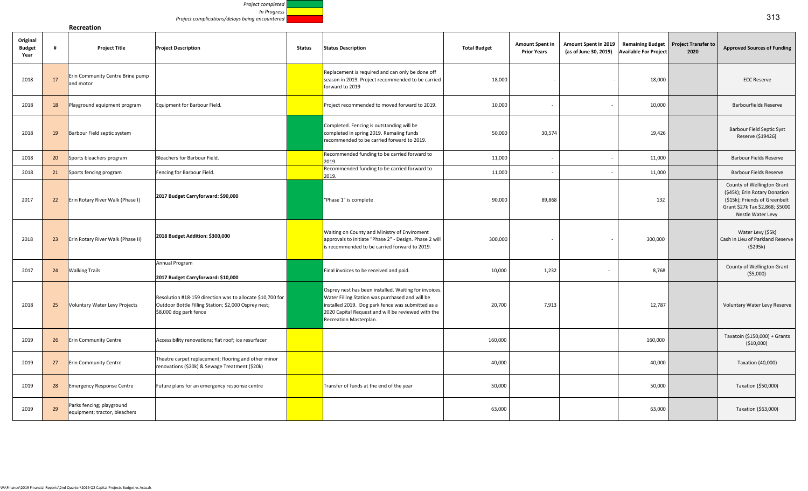

 $\mathbf{I}$ 

| Original<br><b>Budget</b><br>Year | #  | <b>Project Title</b>                                       | <b>Project Description</b>                                                                                                                  | <b>Status</b> | <b>Status Description</b>                                                                                                                                                                                                                     | <b>Total Budget</b> | <b>Amount Spent In</b><br><b>Prior Years</b> | Amount Spent In 2019<br>(as of June 30, 2019) | <b>Remaining Budget</b><br><b>Available For Project</b> | <b>Project Transfer to</b><br>2020 | <b>Approved Sources of Funding</b>                                                                                                                   |
|-----------------------------------|----|------------------------------------------------------------|---------------------------------------------------------------------------------------------------------------------------------------------|---------------|-----------------------------------------------------------------------------------------------------------------------------------------------------------------------------------------------------------------------------------------------|---------------------|----------------------------------------------|-----------------------------------------------|---------------------------------------------------------|------------------------------------|------------------------------------------------------------------------------------------------------------------------------------------------------|
| 2018                              | 17 | Erin Community Centre Brine pump<br>and motor              |                                                                                                                                             |               | Replacement is required and can only be done off<br>season in 2019. Project recommended to be carried<br>forward to 2019                                                                                                                      | 18,000              |                                              |                                               | 18,000                                                  |                                    | <b>ECC Reserve</b>                                                                                                                                   |
| 2018                              | 18 | Playground equipment program                               | Equipment for Barbour Field.                                                                                                                |               | Project recommended to moved forward to 2019.                                                                                                                                                                                                 | 10,000              | $\overline{\phantom{a}}$                     |                                               | 10,000                                                  |                                    | <b>Barbourfields Reserve</b>                                                                                                                         |
| 2018                              | 19 | Barbour Field septic system                                |                                                                                                                                             |               | Completed. Fencing is outstanding will be<br>completed in spring 2019. Remaiing funds<br>recommended to be carried forward to 2019.                                                                                                           | 50,000              | 30,574                                       |                                               | 19,426                                                  |                                    | <b>Barbour Field Septic Syst</b><br>Reserve (\$19426)                                                                                                |
| 2018                              | 20 | Sports bleachers program                                   | Bleachers for Barbour Field.                                                                                                                |               | Recommended funding to be carried forward to<br>2019.                                                                                                                                                                                         | 11,000              | $\overline{\phantom{a}}$                     |                                               | 11,000                                                  |                                    | <b>Barbour Fields Reserve</b>                                                                                                                        |
| 2018                              | 21 | Sports fencing program                                     | Fencing for Barbour Field.                                                                                                                  |               | Recommended funding to be carried forward to<br>2019.                                                                                                                                                                                         | 11,000              |                                              |                                               | 11,000                                                  |                                    | Barbour Fields Reserve                                                                                                                               |
| 2017                              | 22 | Erin Rotary River Walk (Phase I)                           | 2017 Budget Carryforward: \$90,000                                                                                                          |               | "Phase 1" is complete                                                                                                                                                                                                                         | 90,000              | 89,868                                       |                                               | 132                                                     |                                    | County of Wellington Grant<br>(\$45k); Erin Rotary Donation<br>(\$15k); Friends of Greenbelt<br>Grant \$27k Tax \$2,868; \$5000<br>Nestle Water Levy |
| 2018                              | 23 | Erin Rotary River Walk (Phase II)                          | 2018 Budget Addition: \$300,000                                                                                                             |               | Waiting on County and Ministry of Enviroment<br>approvals to initiate "Phase 2" - Design. Phase 2 will<br>is recommended to be carried forward to 2019.                                                                                       | 300,000             | $\overline{\phantom{a}}$                     |                                               | 300,000                                                 |                                    | Water Levy (\$5k)<br>Cash in Lieu of Parkland Reserve<br>(5295k)                                                                                     |
| 2017                              | 24 | <b>Walking Trails</b>                                      | Annual Program<br>2017 Budget Carryforward: \$10,000                                                                                        |               | Final invoices to be received and paid.                                                                                                                                                                                                       | 10,000              | 1,232                                        | $\overline{\phantom{a}}$                      | 8,768                                                   |                                    | County of Wellington Grant<br>( \$5,000)                                                                                                             |
| 2018                              | 25 | Voluntary Water Levy Projects                              | Resolution #18-159 direction was to allocate \$10,700 for<br>Outdoor Bottle Filling Station; \$2,000 Osprey nest;<br>\$8,000 dog park fence |               | Osprey nest has been installed. Waiting for invoices.<br>Water Filling Station was purchased and will be<br>installed 2019. Dog park fence was submitted as a<br>2020 Capital Request and will be reviewed with the<br>Recreation Masterplan. | 20,700              | 7,913                                        |                                               | 12,787                                                  |                                    | Voluntary Water Levy Reserve                                                                                                                         |
| 2019                              | 26 | <b>Erin Community Centre</b>                               | Accessibility renovations; flat roof; ice resurfacer                                                                                        |               |                                                                                                                                                                                                                                               | 160,000             |                                              |                                               | 160,000                                                 |                                    | Taxatoin (\$150,000) + Grants<br>( \$10,000)                                                                                                         |
| 2019                              | 27 | <b>Erin Community Centre</b>                               | Theatre carpet replacement; flooring and other minor<br>renovations (\$20k) & Sewage Treatment (\$20k)                                      |               |                                                                                                                                                                                                                                               | 40,000              |                                              |                                               | 40,000                                                  |                                    | Taxation (40,000)                                                                                                                                    |
| 2019                              | 28 | <b>Emergency Response Centre</b>                           | Future plans for an emergency response centre                                                                                               |               | Transfer of funds at the end of the year                                                                                                                                                                                                      | 50,000              |                                              |                                               | 50,000                                                  |                                    | Taxation (\$50,000)                                                                                                                                  |
| 2019                              | 29 | Parks fencing; playground<br>equipment; tractor, bleachers |                                                                                                                                             |               |                                                                                                                                                                                                                                               | 63,000              |                                              |                                               | 63,000                                                  |                                    | Taxation (\$63,000)                                                                                                                                  |
|                                   |    |                                                            |                                                                                                                                             |               |                                                                                                                                                                                                                                               |                     |                                              |                                               |                                                         |                                    |                                                                                                                                                      |

**Recreation**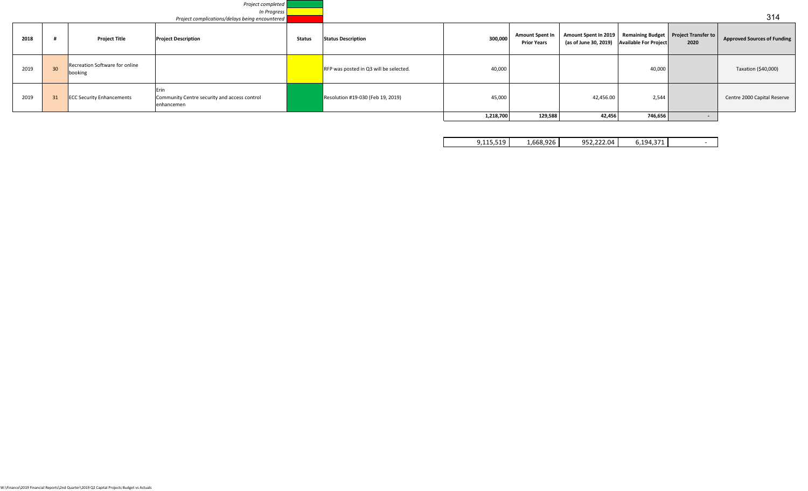|      |    |                                           | Project completed                                                  |               |                                          |           |                                              |                                                                                                            |         |                          |                                    |
|------|----|-------------------------------------------|--------------------------------------------------------------------|---------------|------------------------------------------|-----------|----------------------------------------------|------------------------------------------------------------------------------------------------------------|---------|--------------------------|------------------------------------|
|      |    |                                           | In Progress                                                        |               |                                          |           |                                              |                                                                                                            |         |                          |                                    |
|      |    |                                           | Project complications/delays being encountered                     |               |                                          |           |                                              |                                                                                                            |         |                          | 314                                |
| 2018 |    | <b>Project Title</b>                      | <b>Project Description</b>                                         | <b>Status</b> | <b>Status Description</b>                | 300,000   | <b>Amount Spent In</b><br><b>Prior Years</b> | Amount Spent In 2019 Remaining Budget   Project Transfer to<br>(as of June 30, 2019) Available For Project |         | 2020                     | <b>Approved Sources of Funding</b> |
| 2019 | 30 | Recreation Software for online<br>booking |                                                                    |               | $RFP$ was posted in Q3 will be selected. | 40,000    |                                              |                                                                                                            | 40,000  |                          | Taxation (\$40,000)                |
| 2019 | 31 | <b>ECC Security Enhancements</b>          | Erin<br>Community Centre security and access control<br>enhancemen |               | Resolution #19-030 (Feb 19, 2019)        | 45,000    |                                              | 42,456.00                                                                                                  | 2,544   |                          | Centre 2000 Capital Reserve        |
|      |    |                                           |                                                                    |               |                                          | 1,218,700 | 129,588                                      | 42,456                                                                                                     | 746,656 | $\overline{\phantom{0}}$ |                                    |

| 952.222.04<br>1,668,926<br>6,194,371<br>J.115.519 |  |
|---------------------------------------------------|--|
|---------------------------------------------------|--|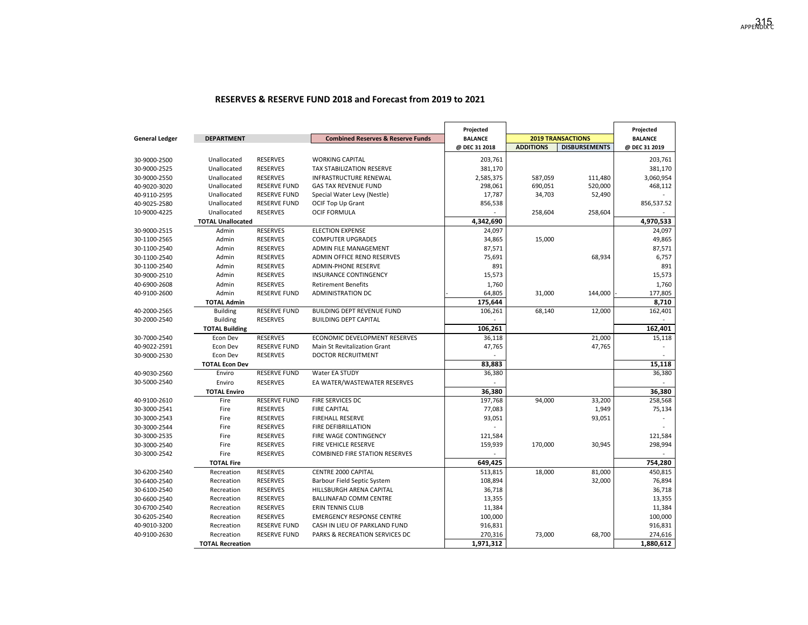### **RESERVES & RESERVE FUND 2018 and Forecast from 2019 to 2021**

|                       |                          |                     |                                              | Projected      |                  |                          | Projected      |
|-----------------------|--------------------------|---------------------|----------------------------------------------|----------------|------------------|--------------------------|----------------|
| <b>General Ledger</b> | <b>DEPARTMENT</b>        |                     | <b>Combined Reserves &amp; Reserve Funds</b> | <b>BALANCE</b> |                  | <b>2019 TRANSACTIONS</b> | <b>BALANCE</b> |
|                       |                          |                     |                                              | @ DEC 31 2018  | <b>ADDITIONS</b> | <b>DISBURSEMENTS</b>     | @ DEC 31 2019  |
| 30-9000-2500          | Unallocated              | <b>RESERVES</b>     | <b>WORKING CAPITAL</b>                       | 203,761        |                  |                          | 203,761        |
| 30-9000-2525          | Unallocated              | <b>RESERVES</b>     | TAX STABILIZATION RESERVE                    | 381,170        |                  |                          | 381,170        |
| 30-9000-2550          | Unallocated              | <b>RESERVES</b>     | INFRASTRUCTURE RENEWAL                       | 2,585,375      | 587,059          | 111,480                  | 3,060,954      |
| 40-9020-3020          | Unallocated              | <b>RESERVE FUND</b> | <b>GAS TAX REVENUE FUND</b>                  | 298,061        | 690,051          | 520,000                  | 468,112        |
| 40-9110-2595          | Unallocated              | <b>RESERVE FUND</b> | Special Water Levy (Nestle)                  | 17,787         | 34,703           | 52,490                   |                |
| 40-9025-2580          | Unallocated              | <b>RESERVE FUND</b> | OCIF Top Up Grant                            | 856,538        |                  |                          | 856,537.52     |
| 10-9000-4225          | Unallocated              | <b>RESERVES</b>     | <b>OCIF FORMULA</b>                          |                | 258,604          | 258,604                  |                |
|                       | <b>TOTAL Unallocated</b> |                     |                                              | 4,342,690      |                  |                          | 4,970,533      |
| 30-9000-2515          | Admin                    | <b>RESERVES</b>     | <b>ELECTION EXPENSE</b>                      | 24,097         |                  |                          | 24,097         |
| 30-1100-2565          | Admin                    | <b>RESERVES</b>     | <b>COMPUTER UPGRADES</b>                     | 34,865         | 15,000           |                          | 49,865         |
| 30-1100-2540          | Admin                    | <b>RESERVES</b>     | ADMIN FILE MANAGEMENT                        | 87,571         |                  |                          | 87,571         |
| 30-1100-2540          | Admin                    | <b>RESERVES</b>     | ADMIN OFFICE RENO RESERVES                   | 75,691         |                  | 68,934                   | 6,757          |
| 30-1100-2540          | Admin                    | <b>RESERVES</b>     | <b>ADMIN-PHONE RESERVE</b>                   | 891            |                  |                          | 891            |
| 30-9000-2510          | Admin                    | <b>RESERVES</b>     | <b>INSURANCE CONTINGENCY</b>                 | 15,573         |                  |                          | 15,573         |
| 40-6900-2608          | Admin                    | <b>RESERVES</b>     | <b>Retirement Benefits</b>                   | 1,760          |                  |                          | 1,760          |
| 40-9100-2600          | Admin                    | <b>RESERVE FUND</b> | <b>ADMINISTRATION DC</b>                     | 64,805         | 31,000           | 144,000                  | 177,805        |
|                       | <b>TOTAL Admin</b>       |                     |                                              | 175,644        |                  |                          | 8,710          |
| 40-2000-2565          | <b>Building</b>          | <b>RESERVE FUND</b> | BUILDING DEPT REVENUE FUND                   | 106,261        | 68,140           | 12,000                   | 162,401        |
| 30-2000-2540          | <b>Building</b>          | <b>RESERVES</b>     | <b>BUILDING DEPT CAPITAL</b>                 |                |                  |                          |                |
|                       | <b>TOTAL Building</b>    |                     |                                              | 106,261        |                  |                          | 162,401        |
| 30-7000-2540          | Econ Dev                 | <b>RESERVES</b>     | ECONOMIC DEVELOPMENT RESERVES                | 36,118         |                  | 21,000                   | 15,118         |
| 40-9022-2591          | Econ Dev                 | <b>RESERVE FUND</b> | Main St Revitalization Grant                 | 47,765         |                  | 47,765                   |                |
| 30-9000-2530          | Econ Dev                 | <b>RESERVES</b>     | <b>DOCTOR RECRUITMENT</b>                    |                |                  |                          |                |
|                       | <b>TOTAL Econ Dev</b>    |                     |                                              | 83,883         |                  |                          | 15,118         |
| 40-9030-2560          | Enviro                   | <b>RESERVE FUND</b> | Water EA STUDY                               | 36,380         |                  |                          | 36,380         |
| 30-5000-2540          | Enviro                   | <b>RESERVES</b>     | EA WATER/WASTEWATER RESERVES                 |                |                  |                          |                |
|                       | <b>TOTAL Enviro</b>      |                     |                                              | 36,380         |                  |                          | 36,380         |
| 40-9100-2610          | Fire                     | <b>RESERVE FUND</b> | FIRE SERVICES DC                             | 197,768        | 94,000           | 33,200                   | 258,568        |
| 30-3000-2541          | Fire                     | <b>RESERVES</b>     | <b>FIRE CAPITAL</b>                          | 77,083         |                  | 1,949                    | 75,134         |
| 30-3000-2543          | Fire                     | <b>RESERVES</b>     | <b>FIREHALL RESERVE</b>                      | 93,051         |                  | 93,051                   |                |
| 30-3000-2544          | Fire                     | <b>RESERVES</b>     | <b>FIRE DEFIBRILLATION</b>                   |                |                  |                          |                |
| 30-3000-2535          | Fire                     | <b>RESERVES</b>     | FIRE WAGE CONTINGENCY                        | 121,584        |                  |                          | 121,584        |
| 30-3000-2540          | Fire                     | <b>RESERVES</b>     | FIRE VEHICLE RESERVE                         | 159,939        | 170,000          | 30,945                   | 298,994        |
| 30-3000-2542          | Fire                     | <b>RESERVES</b>     | <b>COMBINED FIRE STATION RESERVES</b>        |                |                  |                          |                |
|                       | <b>TOTAL Fire</b>        |                     |                                              | 649,425        |                  |                          | 754,280        |
| 30-6200-2540          | Recreation               | <b>RESERVES</b>     | CENTRE 2000 CAPITAL                          | 513,815        | 18,000           | 81,000                   | 450,815        |
| 30-6400-2540          | Recreation               | <b>RESERVES</b>     | Barbour Field Septic System                  | 108,894        |                  | 32,000                   | 76,894         |
| 30-6100-2540          | Recreation               | <b>RESERVES</b>     | HILLSBURGH ARENA CAPITAL                     | 36,718         |                  |                          | 36,718         |
| 30-6600-2540          | Recreation               | <b>RESERVES</b>     | BALLINAFAD COMM CENTRE                       | 13,355         |                  |                          | 13,355         |
| 30-6700-2540          | Recreation               | <b>RESERVES</b>     | <b>ERIN TENNIS CLUB</b>                      | 11,384         |                  |                          | 11,384         |
| 30-6205-2540          | Recreation               | <b>RESERVES</b>     | <b>EMERGENCY RESPONSE CENTRE</b>             | 100,000        |                  |                          | 100,000        |
| 40-9010-3200          | Recreation               | <b>RESERVE FUND</b> | CASH IN LIEU OF PARKLAND FUND                | 916,831        |                  |                          | 916,831        |
| 40-9100-2630          | Recreation               | <b>RESERVE FUND</b> | PARKS & RECREATION SERVICES DC               | 270,316        | 73,000           | 68,700                   | 274,616        |
|                       | <b>TOTAL Recreation</b>  |                     |                                              | 1,971,312      |                  |                          | 1,880,612      |